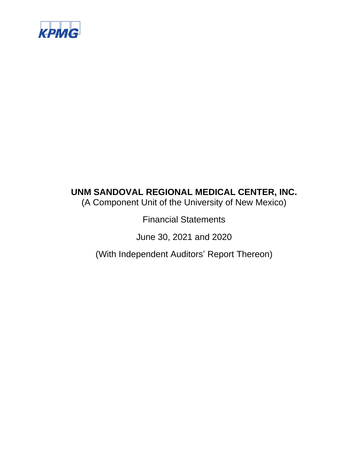

(A Component Unit of the University of New Mexico)

Financial Statements

June 30, 2021 and 2020

(With Independent Auditors' Report Thereon)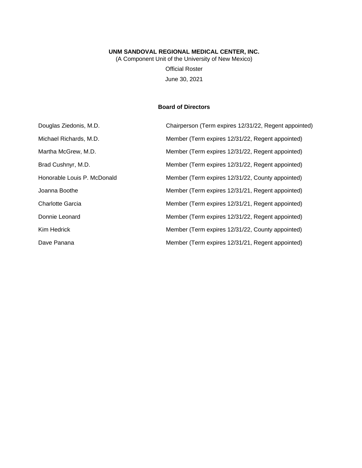(A Component Unit of the University of New Mexico) Official Roster June 30, 2021

### **Board of Directors**

| Douglas Ziedonis, M.D.      | Chairperson (Term expires 12/31/22, Regent appointed) |
|-----------------------------|-------------------------------------------------------|
| Michael Richards, M.D.      | Member (Term expires 12/31/22, Regent appointed)      |
| Martha McGrew, M.D.         | Member (Term expires 12/31/22, Regent appointed)      |
| Brad Cushnyr, M.D.          | Member (Term expires 12/31/22, Regent appointed)      |
| Honorable Louis P. McDonald | Member (Term expires 12/31/22, County appointed)      |
| Joanna Boothe               | Member (Term expires 12/31/21, Regent appointed)      |
| <b>Charlotte Garcia</b>     | Member (Term expires 12/31/21, Regent appointed)      |
| Donnie Leonard              | Member (Term expires 12/31/22, Regent appointed)      |
| Kim Hedrick                 | Member (Term expires 12/31/22, County appointed)      |
| Dave Panana                 | Member (Term expires 12/31/21, Regent appointed)      |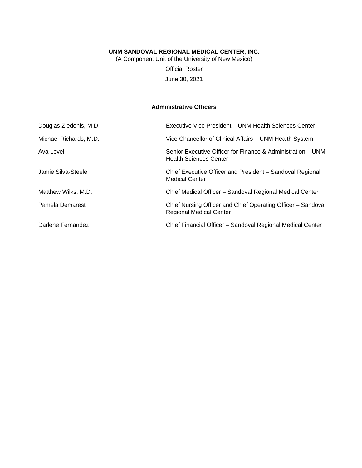(A Component Unit of the University of New Mexico)

Official Roster June 30, 2021

### **Administrative Officers**

| Douglas Ziedonis, M.D. | Executive Vice President – UNM Health Sciences Center                                          |
|------------------------|------------------------------------------------------------------------------------------------|
| Michael Richards, M.D. | Vice Chancellor of Clinical Affairs - UNM Health System                                        |
| Ava Lovell             | Senior Executive Officer for Finance & Administration – UNM<br><b>Health Sciences Center</b>   |
| Jamie Silva-Steele     | Chief Executive Officer and President – Sandoval Regional<br><b>Medical Center</b>             |
| Matthew Wilks, M.D.    | Chief Medical Officer - Sandoval Regional Medical Center                                       |
| Pamela Demarest        | Chief Nursing Officer and Chief Operating Officer - Sandoval<br><b>Regional Medical Center</b> |
| Darlene Fernandez      | Chief Financial Officer - Sandoval Regional Medical Center                                     |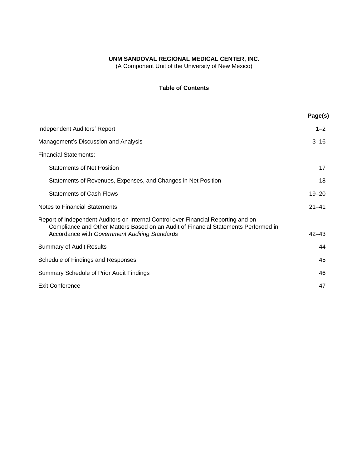(A Component Unit of the University of New Mexico)

### **Table of Contents**

|                                                                                                                                                                                                                            | Page(s)   |
|----------------------------------------------------------------------------------------------------------------------------------------------------------------------------------------------------------------------------|-----------|
| Independent Auditors' Report                                                                                                                                                                                               | $1 - 2$   |
| Management's Discussion and Analysis                                                                                                                                                                                       | $3 - 16$  |
| <b>Financial Statements:</b>                                                                                                                                                                                               |           |
| <b>Statements of Net Position</b>                                                                                                                                                                                          | 17        |
| Statements of Revenues, Expenses, and Changes in Net Position                                                                                                                                                              | 18        |
| <b>Statements of Cash Flows</b>                                                                                                                                                                                            | $19 - 20$ |
| Notes to Financial Statements                                                                                                                                                                                              | $21 - 41$ |
| Report of Independent Auditors on Internal Control over Financial Reporting and on<br>Compliance and Other Matters Based on an Audit of Financial Statements Performed in<br>Accordance with Government Auditing Standards | $42 - 43$ |
| <b>Summary of Audit Results</b>                                                                                                                                                                                            | 44        |
| Schedule of Findings and Responses                                                                                                                                                                                         | 45        |
| Summary Schedule of Prior Audit Findings                                                                                                                                                                                   | 46        |
| <b>Exit Conference</b>                                                                                                                                                                                                     | 47        |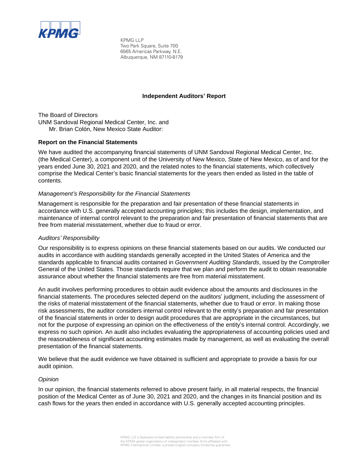

KPMG LLP Two Park Square, Suite 700 6565 Americas Parkway, N.E. Albuquerque, NM 87110-8179

### **Independent Auditors' Report**

The Board of Directors UNM Sandoval Regional Medical Center, Inc. and Mr. Brian Colón, New Mexico State Auditor:

#### **Report on the Financial Statements**

We have audited the accompanying financial statements of UNM Sandoval Regional Medical Center, Inc. (the Medical Center), a component unit of the University of New Mexico, State of New Mexico, as of and for the years ended June 30, 2021 and 2020, and the related notes to the financial statements, which collectively comprise the Medical Center's basic financial statements for the years then ended as listed in the table of contents.

### *Management's Responsibility for the Financial Statements*

Management is responsible for the preparation and fair presentation of these financial statements in accordance with U.S. generally accepted accounting principles; this includes the design, implementation, and maintenance of internal control relevant to the preparation and fair presentation of financial statements that are free from material misstatement, whether due to fraud or error.

#### *Auditors' Responsibility*

Our responsibility is to express opinions on these financial statements based on our audits. We conducted our audits in accordance with auditing standards generally accepted in the United States of America and the standards applicable to financial audits contained in *Government Auditing Standards*, issued by the Comptroller General of the United States. Those standards require that we plan and perform the audit to obtain reasonable assurance about whether the financial statements are free from material misstatement.

An audit involves performing procedures to obtain audit evidence about the amounts and disclosures in the financial statements. The procedures selected depend on the auditors' judgment, including the assessment of the risks of material misstatement of the financial statements, whether due to fraud or error. In making those risk assessments, the auditor considers internal control relevant to the entity's preparation and fair presentation of the financial statements in order to design audit procedures that are appropriate in the circumstances, but not for the purpose of expressing an opinion on the effectiveness of the entity's internal control. Accordingly, we express no such opinion. An audit also includes evaluating the appropriateness of accounting policies used and the reasonableness of significant accounting estimates made by management, as well as evaluating the overall presentation of the financial statements.

We believe that the audit evidence we have obtained is sufficient and appropriate to provide a basis for our audit opinion.

#### *Opinion*

In our opinion, the financial statements referred to above present fairly, in all material respects, the financial position of the Medical Center as of June 30, 2021 and 2020, and the changes in its financial position and its cash flows for the years then ended in accordance with U.S. generally accepted accounting principles.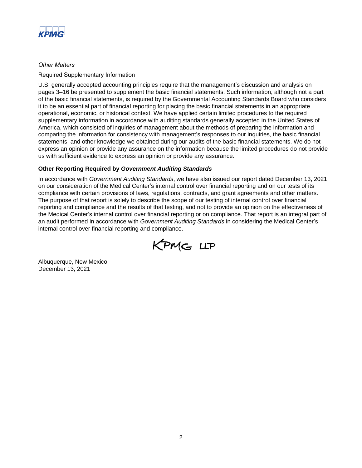

### *Other Matters*

Required Supplementary Information

U.S. generally accepted accounting principles require that the management's discussion and analysis on pages 3–16 be presented to supplement the basic financial statements. Such information, although not a part of the basic financial statements, is required by the Governmental Accounting Standards Board who considers it to be an essential part of financial reporting for placing the basic financial statements in an appropriate operational, economic, or historical context. We have applied certain limited procedures to the required supplementary information in accordance with auditing standards generally accepted in the United States of America, which consisted of inquiries of management about the methods of preparing the information and comparing the information for consistency with management's responses to our inquiries, the basic financial statements, and other knowledge we obtained during our audits of the basic financial statements. We do not express an opinion or provide any assurance on the information because the limited procedures do not provide us with sufficient evidence to express an opinion or provide any assurance.

### **Other Reporting Required by** *Government Auditing Standards*

In accordance with *Government Auditing Standards*, we have also issued our report dated December 13, 2021 on our consideration of the Medical Center's internal control over financial reporting and on our tests of its compliance with certain provisions of laws, regulations, contracts, and grant agreements and other matters. The purpose of that report is solely to describe the scope of our testing of internal control over financial reporting and compliance and the results of that testing, and not to provide an opinion on the effectiveness of the Medical Center's internal control over financial reporting or on compliance. That report is an integral part of an audit performed in accordance with *Government Auditing Standards* in considering the Medical Center's internal control over financial reporting and compliance.



Albuquerque, New Mexico December 13, 2021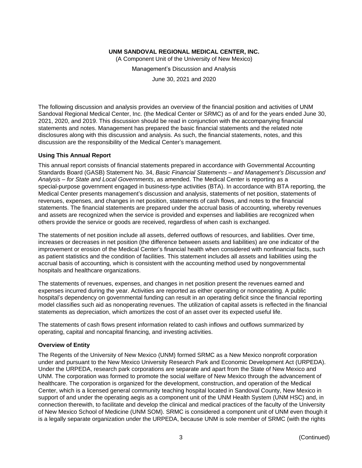(A Component Unit of the University of New Mexico)

Management's Discussion and Analysis

June 30, 2021 and 2020

The following discussion and analysis provides an overview of the financial position and activities of UNM Sandoval Regional Medical Center, Inc. (the Medical Center or SRMC) as of and for the years ended June 30, 2021, 2020, and 2019. This discussion should be read in conjunction with the accompanying financial statements and notes. Management has prepared the basic financial statements and the related note disclosures along with this discussion and analysis. As such, the financial statements, notes, and this discussion are the responsibility of the Medical Center's management.

#### **Using This Annual Report**

This annual report consists of financial statements prepared in accordance with Governmental Accounting Standards Board (GASB) Statement No. 34, *Basic Financial Statements – and Management's Discussion and Analysis – for State and Local Governments*, as amended. The Medical Center is reporting as a special-purpose government engaged in business-type activities (BTA). In accordance with BTA reporting, the Medical Center presents management's discussion and analysis, statements of net position, statements of revenues, expenses, and changes in net position, statements of cash flows, and notes to the financial statements. The financial statements are prepared under the accrual basis of accounting, whereby revenues and assets are recognized when the service is provided and expenses and liabilities are recognized when others provide the service or goods are received, regardless of when cash is exchanged.

The statements of net position include all assets, deferred outflows of resources, and liabilities. Over time, increases or decreases in net position (the difference between assets and liabilities) are one indicator of the improvement or erosion of the Medical Center's financial health when considered with nonfinancial facts, such as patient statistics and the condition of facilities. This statement includes all assets and liabilities using the accrual basis of accounting, which is consistent with the accounting method used by nongovernmental hospitals and healthcare organizations.

The statements of revenues, expenses, and changes in net position present the revenues earned and expenses incurred during the year. Activities are reported as either operating or nonoperating. A public hospital's dependency on governmental funding can result in an operating deficit since the financial reporting model classifies such aid as nonoperating revenues. The utilization of capital assets is reflected in the financial statements as depreciation, which amortizes the cost of an asset over its expected useful life.

The statements of cash flows present information related to cash inflows and outflows summarized by operating, capital and noncapital financing, and investing activities.

### **Overview of Entity**

The Regents of the University of New Mexico (UNM) formed SRMC as a New Mexico nonprofit corporation under and pursuant to the New Mexico University Research Park and Economic Development Act (URPEDA). Under the URPEDA, research park corporations are separate and apart from the State of New Mexico and UNM. The corporation was formed to promote the social welfare of New Mexico through the advancement of healthcare. The corporation is organized for the development, construction, and operation of the Medical Center, which is a licensed general community teaching hospital located in Sandoval County, New Mexico in support of and under the operating aegis as a component unit of the UNM Health System (UNM HSC) and, in connection therewith, to facilitate and develop the clinical and medical practices of the faculty of the University of New Mexico School of Medicine (UNM SOM). SRMC is considered a component unit of UNM even though it is a legally separate organization under the URPEDA, because UNM is sole member of SRMC (with the rights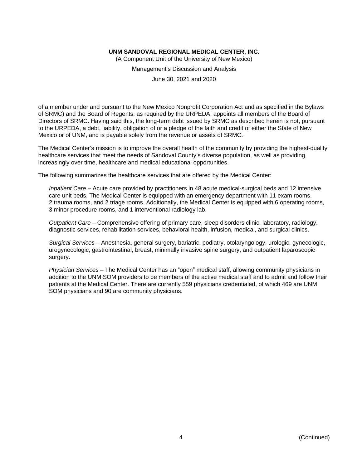(A Component Unit of the University of New Mexico)

Management's Discussion and Analysis

June 30, 2021 and 2020

of a member under and pursuant to the New Mexico Nonprofit Corporation Act and as specified in the Bylaws of SRMC) and the Board of Regents, as required by the URPEDA, appoints all members of the Board of Directors of SRMC. Having said this, the long-term debt issued by SRMC as described herein is not, pursuant to the URPEDA, a debt, liability, obligation of or a pledge of the faith and credit of either the State of New Mexico or of UNM, and is payable solely from the revenue or assets of SRMC.

The Medical Center's mission is to improve the overall health of the community by providing the highest-quality healthcare services that meet the needs of Sandoval County's diverse population, as well as providing, increasingly over time, healthcare and medical educational opportunities.

The following summarizes the healthcare services that are offered by the Medical Center:

*Inpatient Care* – Acute care provided by practitioners in 48 acute medical-surgical beds and 12 intensive care unit beds. The Medical Center is equipped with an emergency department with 11 exam rooms, 2 trauma rooms, and 2 triage rooms. Additionally, the Medical Center is equipped with 6 operating rooms, 3 minor procedure rooms, and 1 interventional radiology lab.

*Outpatient Care* – Comprehensive offering of primary care, sleep disorders clinic, laboratory, radiology, diagnostic services, rehabilitation services, behavioral health, infusion, medical, and surgical clinics.

*Surgical Services* – Anesthesia, general surgery, bariatric, podiatry, otolaryngology, urologic, gynecologic, urogynecologic, gastrointestinal, breast, minimally invasive spine surgery, and outpatient laparoscopic surgery.

*Physician Services* – The Medical Center has an "open" medical staff, allowing community physicians in addition to the UNM SOM providers to be members of the active medical staff and to admit and follow their patients at the Medical Center. There are currently 559 physicians credentialed, of which 469 are UNM SOM physicians and 90 are community physicians.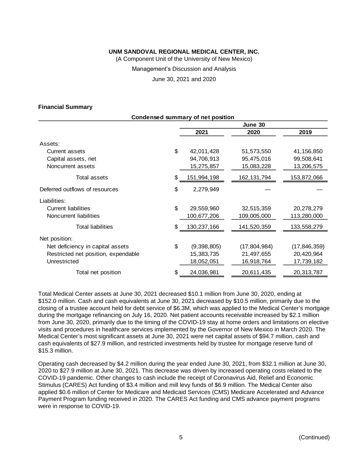(A Component Unit of the University of New Mexico)

Management's Discussion and Analysis

June 30, 2021 and 2020

#### **Financial Summary**

| Condensed summary of net position   |    |             |                |                |
|-------------------------------------|----|-------------|----------------|----------------|
|                                     |    |             | June 30        |                |
|                                     |    | 2021        | 2020           | 2019           |
| Assets:                             |    |             |                |                |
| Current assets                      | \$ | 42,011,428  | 51,573,550     | 41,156,850     |
| Capital assets, net                 |    | 94,706,913  | 95,475,016     | 99,508,641     |
| Noncurrent assets                   |    | 15,275,857  | 15,083,228     | 13,206,575     |
| Total assets                        | \$ | 151,994,198 | 162,131,794    | 153,872,066    |
| Deferred outflows of resources      | \$ | 2,279,949   |                |                |
| Liabilities:                        |    |             |                |                |
| <b>Current liabilities</b>          | \$ | 29,559,960  | 32,515,359     | 20,278,279     |
| Noncurrent liabilities              |    | 100,677,206 | 109,005,000    | 113,280,000    |
| Total liabilities                   | \$ | 130,237,166 | 141,520,359    | 133,558,279    |
| Net position:                       |    |             |                |                |
| Net deficiency in capital assets    | \$ | (9,398,805) | (17, 804, 984) | (17, 846, 359) |
| Restricted net position, expendable |    | 15,383,735  | 21,497,655     | 20,420,964     |
| Unrestricted                        |    | 18,052,051  | 16,918,764     | 17,739,182     |
| Total net position                  | S  | 24,036,981  | 20,611,435     | 20,313,787     |

Total Medical Center assets at June 30, 2021 decreased \$10.1 million from June 30, 2020, ending at \$152.0 million. Cash and cash equivalents at June 30, 2021 decreased by \$10.5 million, primarily due to the closing of a trustee account held for debt service of \$6.3M, which was applied to the Medical Center's mortgage during the mortgage refinancing on July 16, 2020. Net patient accounts receivable increased by \$2.1 million from June 30, 2020, primarily due to the timing of the COVID-19 stay at home orders and limitations on elective visits and procedures in healthcare services implemented by the Governor of New Mexico in March 2020. The Medical Center's most significant assets at June 30, 2021 were net capital assets of \$94.7 million, cash and cash equivalents of \$27.9 million, and restricted investments held by trustee for mortgage reserve fund of \$15.3 million.

Operating cash decreased by \$4.2 million during the year ended June 30, 2021, from \$32.1 million at June 30, 2020 to \$27.9 million at June 30, 2021. This decrease was driven by increased operating costs related to the COVID-19 pandemic. Other changes to cash include the receipt of Coronavirus Aid, Relief and Economic Stimulus (CARES) Act funding of \$3.4 million and mill levy funds of \$6.9 million. The Medical Center also applied \$0.6 million of Center for Medicare and Medicaid Services (CMS) Medicare Accelerated and Advance Payment Program funding received in 2020. The CARES Act funding and CMS advance payment programs were in response to COVID-19.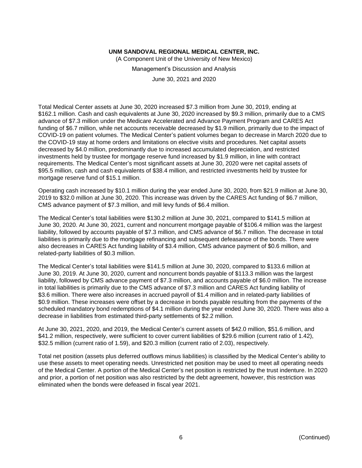(A Component Unit of the University of New Mexico)

Management's Discussion and Analysis

June 30, 2021 and 2020

Total Medical Center assets at June 30, 2020 increased \$7.3 million from June 30, 2019, ending at \$162.1 million. Cash and cash equivalents at June 30, 2020 increased by \$9.3 million, primarily due to a CMS advance of \$7.3 million under the Medicare Accelerated and Advance Payment Program and CARES Act funding of \$6.7 million, while net accounts receivable decreased by \$1.9 million, primarily due to the impact of COVID-19 on patient volumes. The Medical Center's patient volumes began to decrease in March 2020 due to the COVID-19 stay at home orders and limitations on elective visits and procedures. Net capital assets decreased by \$4.0 million, predominantly due to increased accumulated depreciation, and restricted investments held by trustee for mortgage reserve fund increased by \$1.9 million, in line with contract requirements. The Medical Center's most significant assets at June 30, 2020 were net capital assets of \$95.5 million, cash and cash equivalents of \$38.4 million, and restricted investments held by trustee for mortgage reserve fund of \$15.1 million.

Operating cash increased by \$10.1 million during the year ended June 30, 2020, from \$21.9 million at June 30, 2019 to \$32.0 million at June 30, 2020. This increase was driven by the CARES Act funding of \$6.7 million, CMS advance payment of \$7.3 million, and mill levy funds of \$6.4 million.

The Medical Center's total liabilities were \$130.2 million at June 30, 2021, compared to \$141.5 million at June 30, 2020. At June 30, 2021, current and noncurrent mortgage payable of \$106.4 million was the largest liability, followed by accounts payable of \$7.3 million, and CMS advance of \$6.7 million. The decrease in total liabilities is primarily due to the mortgage refinancing and subsequent defeasance of the bonds. There were also decreases in CARES Act funding liability of \$3.4 million, CMS advance payment of \$0.6 million, and related-party liabilities of \$0.3 million.

The Medical Center's total liabilities were \$141.5 million at June 30, 2020, compared to \$133.6 million at June 30, 2019. At June 30, 2020, current and noncurrent bonds payable of \$113.3 million was the largest liability, followed by CMS advance payment of \$7.3 million, and accounts payable of \$6.0 million. The increase in total liabilities is primarily due to the CMS advance of \$7.3 million and CARES Act funding liability of \$3.6 million. There were also increases in accrued payroll of \$1.4 million and in related-party liabilities of \$0.9 million. These increases were offset by a decrease in bonds payable resulting from the payments of the scheduled mandatory bond redemptions of \$4.1 million during the year ended June 30, 2020. There was also a decrease in liabilities from estimated third-party settlements of \$2.2 million.

At June 30, 2021, 2020, and 2019, the Medical Center's current assets of \$42.0 million, \$51.6 million, and \$41.2 million, respectively, were sufficient to cover current liabilities of \$29.6 million (current ratio of 1.42), \$32.5 million (current ratio of 1.59), and \$20.3 million (current ratio of 2.03), respectively.

Total net position (assets plus deferred outflows minus liabilities) is classified by the Medical Center's ability to use these assets to meet operating needs. Unrestricted net position may be used to meet all operating needs of the Medical Center. A portion of the Medical Center's net position is restricted by the trust indenture. In 2020 and prior, a portion of net position was also restricted by the debt agreement, however, this restriction was eliminated when the bonds were defeased in fiscal year 2021.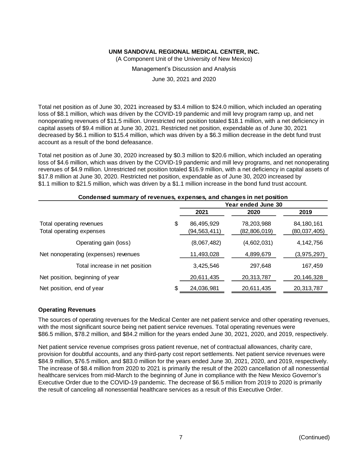(A Component Unit of the University of New Mexico)

Management's Discussion and Analysis

June 30, 2021 and 2020

Total net position as of June 30, 2021 increased by \$3.4 million to \$24.0 million, which included an operating loss of \$8.1 million, which was driven by the COVID-19 pandemic and mill levy program ramp up, and net nonoperating revenues of \$11.5 million. Unrestricted net position totaled \$18.1 million, with a net deficiency in capital assets of \$9.4 million at June 30, 2021. Restricted net position, expendable as of June 30, 2021 decreased by \$6.1 million to \$15.4 million, which was driven by a \$6.3 million decrease in the debt fund trust account as a result of the bond defeasance.

Total net position as of June 30, 2020 increased by \$0.3 million to \$20.6 million, which included an operating loss of \$4.6 million, which was driven by the COVID-19 pandemic and mill levy programs, and net nonoperating revenues of \$4.9 million. Unrestricted net position totaled \$16.9 million, with a net deficiency in capital assets of \$17.8 million at June 30, 2020. Restricted net position, expendable as of June 30, 2020 increased by \$1.1 million to \$21.5 million, which was driven by a \$1.1 million increase in the bond fund trust account.

| Condensed summary of revenues, expenses, and changes in net position |    |                |                    |              |
|----------------------------------------------------------------------|----|----------------|--------------------|--------------|
|                                                                      |    |                | Year ended June 30 |              |
|                                                                      |    | 2021           | 2020               | 2019         |
| Total operating revenues                                             | \$ | 86,495,929     | 78,203,988         | 84, 180, 161 |
| Total operating expenses                                             |    | (94, 563, 411) | (82, 806, 019)     | (80,037,405) |
| Operating gain (loss)                                                |    | (8,067,482)    | (4,602,031)        | 4,142,756    |
| Net nonoperating (expenses) revenues                                 |    | 11,493,028     | 4,899,679          | (3,975,297)  |
| Total increase in net position                                       |    | 3.425.546      | 297.648            | 167,459      |
| Net position, beginning of year                                      |    | 20,611,435     | 20,313,787         | 20,146,328   |
| Net position, end of year                                            | \$ | 24,036,981     | 20,611,435         | 20,313,787   |

#### **Operating Revenues**

The sources of operating revenues for the Medical Center are net patient service and other operating revenues, with the most significant source being net patient service revenues. Total operating revenues were \$86.5 million, \$78.2 million, and \$84.2 million for the years ended June 30, 2021, 2020, and 2019, respectively.

Net patient service revenue comprises gross patient revenue, net of contractual allowances, charity care, provision for doubtful accounts, and any third-party cost report settlements. Net patient service revenues were \$84.9 million, \$76.5 million, and \$83.0 million for the years ended June 30, 2021, 2020, and 2019, respectively. The increase of \$8.4 million from 2020 to 2021 is primarily the result of the 2020 cancellation of all nonessential healthcare services from mid-March to the beginning of June in compliance with the New Mexico Governor's Executive Order due to the COVID-19 pandemic. The decrease of \$6.5 million from 2019 to 2020 is primarily the result of canceling all nonessential healthcare services as a result of this Executive Order.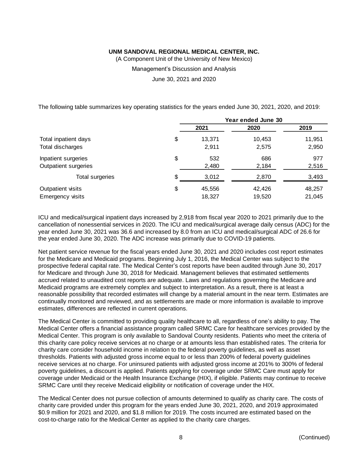(A Component Unit of the University of New Mexico)

Management's Discussion and Analysis

June 30, 2021 and 2020

The following table summarizes key operating statistics for the years ended June 30, 2021, 2020, and 2019:

|                                       | Year ended June 30     |                  |                  |
|---------------------------------------|------------------------|------------------|------------------|
|                                       | 2021                   | 2020             | 2019             |
| Total inpatient days                  | \$<br>13,371           | 10,453           | 11,951           |
| Total discharges                      | 2,911                  | 2,575            | 2,950            |
| Inpatient surgeries                   | \$<br>532              | 686              | 977              |
| Outpatient surgeries                  | 2,480                  | 2,184            | 2,516            |
| Total surgeries                       | \$<br>3,012            | 2,870            | 3,493            |
| Outpatient visits<br>Emergency visits | \$<br>45,556<br>18,327 | 42,426<br>19,520 | 48,257<br>21,045 |

ICU and medical/surgical inpatient days increased by 2,918 from fiscal year 2020 to 2021 primarily due to the cancellation of nonessential services in 2020. The ICU and medical/surgical average daily census (ADC) for the year ended June 30, 2021 was 36.6 and increased by 8.0 from an ICU and medical/surgical ADC of 26.6 for the year ended June 30, 2020. The ADC increase was primarily due to COVID-19 patients.

Net patient service revenue for the fiscal years ended June 30, 2021 and 2020 includes cost report estimates for the Medicare and Medicaid programs. Beginning July 1, 2016, the Medical Center was subject to the prospective federal capital rate. The Medical Center's cost reports have been audited through June 30, 2017 for Medicare and through June 30, 2018 for Medicaid. Management believes that estimated settlements accrued related to unaudited cost reports are adequate. Laws and regulations governing the Medicare and Medicaid programs are extremely complex and subject to interpretation. As a result, there is at least a reasonable possibility that recorded estimates will change by a material amount in the near term. Estimates are continually monitored and reviewed, and as settlements are made or more information is available to improve estimates, differences are reflected in current operations.

The Medical Center is committed to providing quality healthcare to all, regardless of one's ability to pay. The Medical Center offers a financial assistance program called SRMC Care for healthcare services provided by the Medical Center. This program is only available to Sandoval County residents. Patients who meet the criteria of this charity care policy receive services at no charge or at amounts less than established rates. The criteria for charity care consider household income in relation to the federal poverty guidelines, as well as asset thresholds. Patients with adjusted gross income equal to or less than 200% of federal poverty guidelines receive services at no charge. For uninsured patients with adjusted gross income at 201% to 300% of federal poverty guidelines, a discount is applied. Patients applying for coverage under SRMC Care must apply for coverage under Medicaid or the Health Insurance Exchange (HIX), if eligible. Patients may continue to receive SRMC Care until they receive Medicaid eligibility or notification of coverage under the HIX.

The Medical Center does not pursue collection of amounts determined to qualify as charity care. The costs of charity care provided under this program for the years ended June 30, 2021, 2020, and 2019 approximated \$0.9 million for 2021 and 2020, and \$1.8 million for 2019. The costs incurred are estimated based on the cost-to-charge ratio for the Medical Center as applied to the charity care charges.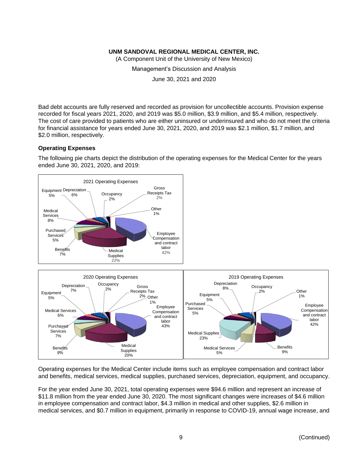(A Component Unit of the University of New Mexico)

Management's Discussion and Analysis

June 30, 2021 and 2020

Bad debt accounts are fully reserved and recorded as provision for uncollectible accounts. Provision expense recorded for fiscal years 2021, 2020, and 2019 was \$5.0 million, \$3.9 million, and \$5.4 million, respectively. The cost of care provided to patients who are either uninsured or underinsured and who do not meet the criteria for financial assistance for years ended June 30, 2021, 2020, and 2019 was \$2.1 million, \$1.7 million, and \$2.0 million, respectively.

### **Operating Expenses**

The following pie charts depict the distribution of the operating expenses for the Medical Center for the years ended June 30, 2021, 2020, and 2019:



Operating expenses for the Medical Center include items such as employee compensation and contract labor and benefits, medical services, medical supplies, purchased services, depreciation, equipment, and occupancy.

For the year ended June 30, 2021, total operating expenses were \$94.6 million and represent an increase of \$11.8 million from the year ended June 30, 2020. The most significant changes were increases of \$4.6 million in employee compensation and contract labor, \$4.3 million in medical and other supplies, \$2.6 million in medical services, and \$0.7 million in equipment, primarily in response to COVID-19, annual wage increase, and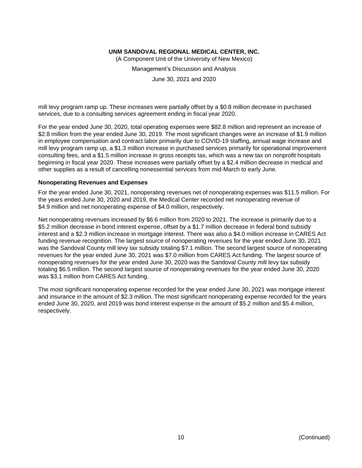(A Component Unit of the University of New Mexico)

Management's Discussion and Analysis

June 30, 2021 and 2020

mill levy program ramp up. These increases were partially offset by a \$0.8 million decrease in purchased services, due to a consulting services agreement ending in fiscal year 2020.

For the year ended June 30, 2020, total operating expenses were \$82.8 million and represent an increase of \$2.8 million from the year ended June 30, 2019. The most significant changes were an increase of \$1.9 million in employee compensation and contract labor primarily due to COVID-19 staffing, annual wage increase and mill levy program ramp up, a \$1.3 million increase in purchased services primarily for operational improvement consulting fees, and a \$1.5 million increase in gross receipts tax, which was a new tax on nonprofit hospitals beginning in fiscal year 2020. These increases were partially offset by a \$2.4 million decrease in medical and other supplies as a result of cancelling nonessential services from mid-March to early June.

#### **Nonoperating Revenues and Expenses**

For the year ended June 30, 2021, nonoperating revenues net of nonoperating expenses was \$11.5 million. For the years ended June 30, 2020 and 2019, the Medical Center recorded net nonoperating revenue of \$4.9 million and net nonoperating expense of \$4.0 million, respectively.

Net nonoperating revenues increased by \$6.6 million from 2020 to 2021. The increase is primarily due to a \$5.2 million decrease in bond interest expense, offset by a \$1.7 million decrease in federal bond subsidy interest and a \$2.3 million increase in mortgage interest. There was also a \$4.0 million increase in CARES Act funding revenue recognition. The largest source of nonoperating revenues for the year ended June 30, 2021 was the Sandoval County mill levy tax subsidy totaling \$7.1 million. The second largest source of nonoperating revenues for the year ended June 30, 2021 was \$7.0 million from CARES Act funding. The largest source of nonoperating revenues for the year ended June 30, 2020 was the Sandoval County mill levy tax subsidy totaling \$6.5 million. The second largest source of nonoperating revenues for the year ended June 30, 2020 was \$3.1 million from CARES Act funding.

The most significant nonoperating expense recorded for the year ended June 30, 2021 was mortgage interest and insurance in the amount of \$2.3 million. The most significant nonoperating expense recorded for the years ended June 30, 2020, and 2019 was bond interest expense in the amount of \$5.2 million and \$5.4 million, respectively.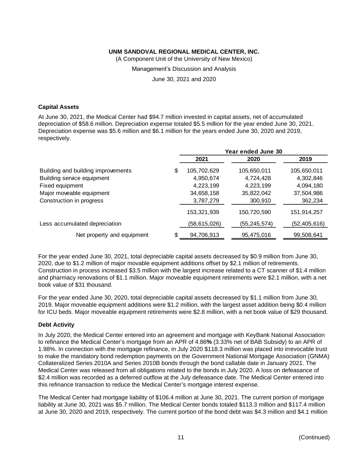(A Component Unit of the University of New Mexico)

Management's Discussion and Analysis

June 30, 2021 and 2020

### **Capital Assets**

At June 30, 2021, the Medical Center had \$94.7 million invested in capital assets, net of accumulated depreciation of \$58.6 million. Depreciation expense totaled \$5.5 million for the year ended June 30, 2021. Depreciation expense was \$5.6 million and \$6.1 million for the years ended June 30, 2020 and 2019, respectively.

|                                          |              | Year ended June 30 |              |
|------------------------------------------|--------------|--------------------|--------------|
|                                          | 2021         | 2020               | 2019         |
| Building and building improvements<br>\$ | 105,702,629  | 105,650,011        | 105,650,011  |
| Building service equipment               | 4,950,674    | 4,724,428          | 4,302,846    |
| Fixed equipment                          | 4,223,199    | 4,223,199          | 4,094,180    |
| Major moveable equipment                 | 34,658,158   | 35,822,042         | 37,504,986   |
| Construction in progress                 | 3,787,279    | 300,910            | 362,234      |
|                                          | 153.321.939  | 150,720,590        | 151,914,257  |
| Less accumulated depreciation            | (58,615,026) | (55,245,574)       | (52,405,616) |
| Net property and equipment               | 94,706,913   | 95,475,016         | 99,508,641   |

For the year ended June 30, 2021, total depreciable capital assets decreased by \$0.9 million from June 30, 2020, due to \$1.2 million of major movable equipment additions offset by \$2.1 million of retirements. Construction in process increased \$3.5 million with the largest increase related to a CT scanner of \$1.4 million and pharmacy renovations of \$1.1 million. Major moveable equipment retirements were \$2.1 million, with a net book value of \$31 thousand.

For the year ended June 30, 2020, total depreciable capital assets decreased by \$1.1 million from June 30, 2019. Major moveable equipment additions were \$1.2 million, with the largest asset addition being \$0.4 million for ICU beds. Major moveable equipment retirements were \$2.8 million, with a net book value of \$29 thousand.

### **Debt Activity**

In July 2020, the Medical Center entered into an agreement and mortgage with KeyBank National Association to refinance the Medical Center's mortgage from an APR of 4.86**%** (3.33% net of BAB Subsidy) to an APR of 1.98%. In connection with the mortgage refinance, in July 2020 \$118.3 million was placed into irrevocable trust to make the mandatory bond redemption payments on the Government National Mortgage Association (GNMA) Collateralized Series 2010A and Series 2010B bonds through the bond callable date in January 2021. The Medical Center was released from all obligations related to the bonds in July 2020. A loss on defeasance of \$2.4 million was recorded as a deferred outflow at the July defeasance date. The Medical Center entered into this refinance transaction to reduce the Medical Center's mortgage interest expense.

The Medical Center had mortgage liability of \$106.4 million at June 30, 2021. The current portion of mortgage liability at June 30, 2021 was \$5.7 million. The Medical Center bonds totaled \$113.3 million and \$117.4 million at June 30, 2020 and 2019, respectively. The current portion of the bond debt was \$4.3 million and \$4.1 million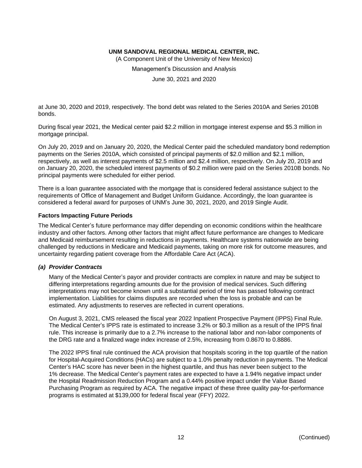(A Component Unit of the University of New Mexico)

Management's Discussion and Analysis

June 30, 2021 and 2020

at June 30, 2020 and 2019, respectively. The bond debt was related to the Series 2010A and Series 2010B bonds.

During fiscal year 2021, the Medical center paid \$2.2 million in mortgage interest expense and \$5.3 million in mortgage principal.

On July 20, 2019 and on January 20, 2020, the Medical Center paid the scheduled mandatory bond redemption payments on the Series 2010A, which consisted of principal payments of \$2.0 million and \$2.1 million, respectively, as well as interest payments of \$2.5 million and \$2.4 million, respectively. On July 20, 2019 and on January 20, 2020, the scheduled interest payments of \$0.2 million were paid on the Series 2010B bonds. No principal payments were scheduled for either period.

There is a loan guarantee associated with the mortgage that is considered federal assistance subject to the requirements of Office of Management and Budget Uniform Guidance. Accordingly, the loan guarantee is considered a federal award for purposes of UNM's June 30, 2021, 2020, and 2019 Single Audit.

### **Factors Impacting Future Periods**

The Medical Center's future performance may differ depending on economic conditions within the healthcare industry and other factors. Among other factors that might affect future performance are changes to Medicare and Medicaid reimbursement resulting in reductions in payments. Healthcare systems nationwide are being challenged by reductions in Medicare and Medicaid payments, taking on more risk for outcome measures, and uncertainty regarding patient coverage from the Affordable Care Act (ACA).

### *(a) Provider Contracts*

Many of the Medical Center's payor and provider contracts are complex in nature and may be subject to differing interpretations regarding amounts due for the provision of medical services. Such differing interpretations may not become known until a substantial period of time has passed following contract implementation. Liabilities for claims disputes are recorded when the loss is probable and can be estimated. Any adjustments to reserves are reflected in current operations.

On August 3, 2021, CMS released the fiscal year 2022 Inpatient Prospective Payment (IPPS) Final Rule. The Medical Center's IPPS rate is estimated to increase 3.2% or \$0.3 million as a result of the IPPS final rule. This increase is primarily due to a 2.7% increase to the national labor and non-labor components of the DRG rate and a finalized wage index increase of 2.5%, increasing from 0.8670 to 0.8886.

The 2022 IPPS final rule continued the ACA provision that hospitals scoring in the top quartile of the nation for Hospital-Acquired Conditions (HACs) are subject to a 1.0% penalty reduction in payments. The Medical Center's HAC score has never been in the highest quartile, and thus has never been subject to the 1% decrease. The Medical Center's payment rates are expected to have a 1.94% negative impact under the Hospital Readmission Reduction Program and a 0.44% positive impact under the Value Based Purchasing Program as required by ACA. The negative impact of these three quality pay-for-performance programs is estimated at \$139,000 for federal fiscal year (FFY) 2022.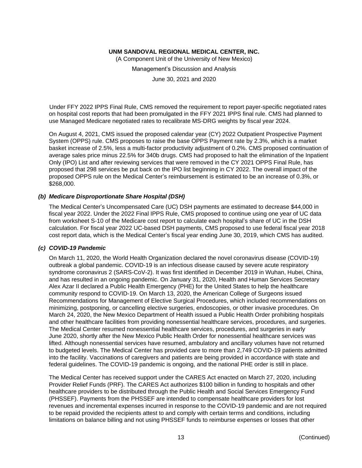(A Component Unit of the University of New Mexico)

Management's Discussion and Analysis

June 30, 2021 and 2020

Under FFY 2022 IPPS Final Rule, CMS removed the requirement to report payer-specific negotiated rates on hospital cost reports that had been promulgated in the FFY 2021 IPPS final rule. CMS had planned to use Managed Medicare negotiated rates to recalibrate MS-DRG weights by fiscal year 2024.

On August 4, 2021, CMS issued the proposed calendar year (CY) 2022 Outpatient Prospective Payment System (OPPS) rule. CMS proposes to raise the base OPPS Payment rate by 2.3%, which is a market basket increase of 2.5%, less a multi-factor productivity adjustment of 0.2%. CMS proposed continuation of average sales price minus 22.5% for 340b drugs. CMS had proposed to halt the elimination of the Inpatient Only (IPO) List and after reviewing services that were removed in the CY 2021 OPPS Final Rule, has proposed that 298 services be put back on the IPO list beginning in CY 2022. The overall impact of the proposed OPPS rule on the Medical Center's reimbursement is estimated to be an increase of 0.3%, or \$268,000.

#### *(b) Medicare Disproportionate Share Hospital (DSH)*

The Medical Center's Uncompensated Care (UC) DSH payments are estimated to decrease \$44,000 in fiscal year 2022. Under the 2022 Final IPPS Rule, CMS proposed to continue using one year of UC data from worksheet S-10 of the Medicare cost report to calculate each hospital's share of UC in the DSH calculation. For fiscal year 2022 UC-based DSH payments, CMS proposed to use federal fiscal year 2018 cost report data, which is the Medical Center's fiscal year ending June 30, 2019, which CMS has audited.

#### *(c) COVID-19 Pandemic*

On March 11, 2020, the World Health Organization declared the novel coronavirus disease (COVID-19) outbreak a global pandemic. COVID-19 is an infectious disease caused by severe acute respiratory syndrome coronavirus 2 (SARS-CoV-2). It was first identified in December 2019 in Wuhan, Hubei, China, and has resulted in an ongoing pandemic. On January 31, 2020, Health and Human Services Secretary Alex Azar II declared a Public Health Emergency (PHE) for the United States to help the healthcare community respond to COVID-19. On March 13, 2020, the American College of Surgeons issued Recommendations for Management of Elective Surgical Procedures, which included recommendations on minimizing, postponing, or cancelling elective surgeries, endoscopies, or other invasive procedures. On March 24, 2020, the New Mexico Department of Health issued a Public Health Order prohibiting hospitals and other healthcare facilities from providing nonessential healthcare services, procedures, and surgeries. The Medical Center resumed nonessential healthcare services, procedures, and surgeries in early June 2020, shortly after the New Mexico Public Health Order for nonessential healthcare services was lifted. Although nonessential services have resumed, ambulatory and ancillary volumes have not returned to budgeted levels. The Medical Center has provided care to more than 2,749 COVID-19 patients admitted into the facility. Vaccinations of caregivers and patients are being provided in accordance with state and federal guidelines. The COVID-19 pandemic is ongoing, and the national PHE order is still in place.

The Medical Center has received support under the CARES Act enacted on March 27, 2020, including Provider Relief Funds (PRF). The CARES Act authorizes \$100 billion in funding to hospitals and other healthcare providers to be distributed through the Public Health and Social Services Emergency Fund (PHSSEF). Payments from the PHSSEF are intended to compensate healthcare providers for lost revenues and incremental expenses incurred in response to the COVID-19 pandemic and are not required to be repaid provided the recipients attest to and comply with certain terms and conditions, including limitations on balance billing and not using PHSSEF funds to reimburse expenses or losses that other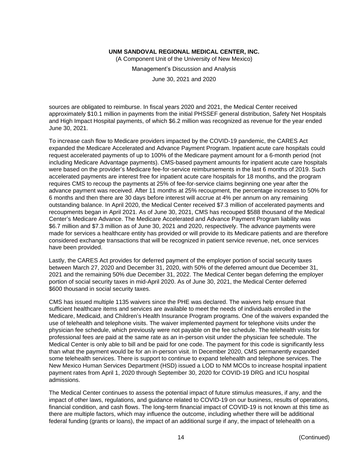(A Component Unit of the University of New Mexico)

Management's Discussion and Analysis

June 30, 2021 and 2020

sources are obligated to reimburse. In fiscal years 2020 and 2021, the Medical Center received approximately \$10.1 million in payments from the initial PHSSEF general distribution, Safety Net Hospitals and High Impact Hospital payments, of which \$6.2 million was recognized as revenue for the year ended June 30, 2021.

To increase cash flow to Medicare providers impacted by the COVID-19 pandemic, the CARES Act expanded the Medicare Accelerated and Advance Payment Program. Inpatient acute care hospitals could request accelerated payments of up to 100% of the Medicare payment amount for a 6-month period (not including Medicare Advantage payments). CMS-based payment amounts for inpatient acute care hospitals were based on the provider's Medicare fee-for-service reimbursements in the last 6 months of 2019. Such accelerated payments are interest free for inpatient acute care hospitals for 18 months, and the program requires CMS to recoup the payments at 25% of fee-for-service claims beginning one year after the advance payment was received. After 11 months at 25% recoupment, the percentage increases to 50% for 6 months and then there are 30 days before interest will accrue at 4% per annum on any remaining outstanding balance. In April 2020, the Medical Center received \$7.3 million of accelerated payments and recoupments began in April 2021. As of June 30, 2021, CMS has recouped \$588 thousand of the Medical Center's Medicare Advance. The Medicare Accelerated and Advance Payment Program liability was \$6.7 million and \$7.3 million as of June 30, 2021 and 2020, respectively. The advance payments were made for services a healthcare entity has provided or will provide to its Medicare patients and are therefore considered exchange transactions that will be recognized in patient service revenue, net, once services have been provided.

Lastly, the CARES Act provides for deferred payment of the employer portion of social security taxes between March 27, 2020 and December 31, 2020, with 50% of the deferred amount due December 31, 2021 and the remaining 50% due December 31, 2022. The Medical Center began deferring the employer portion of social security taxes in mid-April 2020. As of June 30, 2021, the Medical Center deferred \$600 thousand in social security taxes.

CMS has issued multiple 1135 waivers since the PHE was declared. The waivers help ensure that sufficient healthcare items and services are available to meet the needs of individuals enrolled in the Medicare, Medicaid, and Children's Health Insurance Program programs. One of the waivers expanded the use of telehealth and telephone visits. The waiver implemented payment for telephone visits under the physician fee schedule, which previously were not payable on the fee schedule. The telehealth visits for professional fees are paid at the same rate as an in-person visit under the physician fee schedule. The Medical Center is only able to bill and be paid for one code. The payment for this code is significantly less than what the payment would be for an in-person visit. In December 2020, CMS permanently expanded some telehealth services. There is support to continue to expand telehealth and telephone services. The New Mexico Human Services Department (HSD) issued a LOD to NM MCOs to increase hospital inpatient payment rates from April 1, 2020 through September 30, 2020 for COVID-19 DRG and ICU hospital admissions.

The Medical Center continues to assess the potential impact of future stimulus measures, if any, and the impact of other laws, regulations, and guidance related to COVID-19 on our business, results of operations, financial condition, and cash flows. The long-term financial impact of COVID-19 is not known at this time as there are multiple factors, which may influence the outcome, including whether there will be additional federal funding (grants or loans), the impact of an additional surge if any, the impact of telehealth on a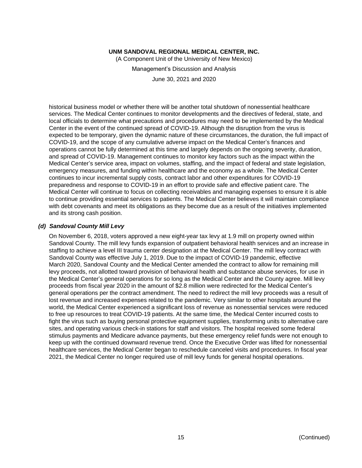(A Component Unit of the University of New Mexico)

Management's Discussion and Analysis

June 30, 2021 and 2020

historical business model or whether there will be another total shutdown of nonessential healthcare services. The Medical Center continues to monitor developments and the directives of federal, state, and local officials to determine what precautions and procedures may need to be implemented by the Medical Center in the event of the continued spread of COVID-19. Although the disruption from the virus is expected to be temporary, given the dynamic nature of these circumstances, the duration, the full impact of COVID-19, and the scope of any cumulative adverse impact on the Medical Center's finances and operations cannot be fully determined at this time and largely depends on the ongoing severity, duration, and spread of COVID-19. Management continues to monitor key factors such as the impact within the Medical Center's service area, impact on volumes, staffing, and the impact of federal and state legislation, emergency measures, and funding within healthcare and the economy as a whole. The Medical Center continues to incur incremental supply costs, contract labor and other expenditures for COVID-19 preparedness and response to COVID-19 in an effort to provide safe and effective patient care. The Medical Center will continue to focus on collecting receivables and managing expenses to ensure it is able to continue providing essential services to patients. The Medical Center believes it will maintain compliance with debt covenants and meet its obligations as they become due as a result of the initiatives implemented and its strong cash position.

#### *(d) Sandoval County Mill Levy*

On November 6, 2018, voters approved a new eight-year tax levy at 1.9 mill on property owned within Sandoval County. The mill levy funds expansion of outpatient behavioral health services and an increase in staffing to achieve a level III trauma center designation at the Medical Center. The mill levy contract with Sandoval County was effective July 1, 2019. Due to the impact of COVID-19 pandemic, effective March 2020, Sandoval County and the Medical Center amended the contract to allow for remaining mill levy proceeds, not allotted toward provision of behavioral health and substance abuse services, for use in the Medical Center's general operations for so long as the Medical Center and the County agree. Mill levy proceeds from fiscal year 2020 in the amount of \$2.8 million were redirected for the Medical Center's general operations per the contract amendment. The need to redirect the mill levy proceeds was a result of lost revenue and increased expenses related to the pandemic. Very similar to other hospitals around the world, the Medical Center experienced a significant loss of revenue as nonessential services were reduced to free up resources to treat COVID-19 patients. At the same time, the Medical Center incurred costs to fight the virus such as buying personal protective equipment supplies, transforming units to alternative care sites, and operating various check-in stations for staff and visitors. The hospital received some federal stimulus payments and Medicare advance payments, but these emergency relief funds were not enough to keep up with the continued downward revenue trend. Once the Executive Order was lifted for nonessential healthcare services, the Medical Center began to reschedule canceled visits and procedures. In fiscal year 2021, the Medical Center no longer required use of mill levy funds for general hospital operations.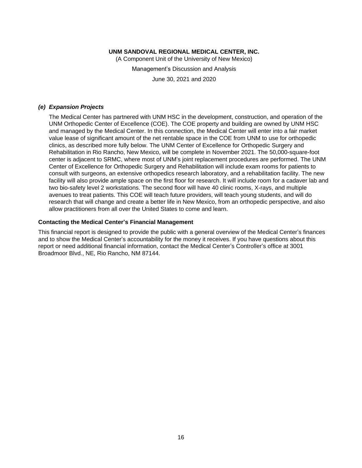(A Component Unit of the University of New Mexico) Management's Discussion and Analysis June 30, 2021 and 2020

#### *(e) Expansion Projects*

The Medical Center has partnered with UNM HSC in the development, construction, and operation of the UNM Orthopedic Center of Excellence (COE). The COE property and building are owned by UNM HSC and managed by the Medical Center. In this connection, the Medical Center will enter into a fair market value lease of significant amount of the net rentable space in the COE from UNM to use for orthopedic clinics, as described more fully below. The UNM Center of Excellence for Orthopedic Surgery and Rehabilitation in Rio Rancho, New Mexico, will be complete in November 2021. The 50,000-square-foot center is adjacent to SRMC, where most of UNM's joint replacement procedures are performed. The UNM Center of Excellence for Orthopedic Surgery and Rehabilitation will include exam rooms for patients to consult with surgeons, an extensive orthopedics research laboratory, and a rehabilitation facility. The new facility will also provide ample space on the first floor for research. It will include room for a cadaver lab and two bio-safety level 2 workstations. The second floor will have 40 clinic rooms, X-rays, and multiple avenues to treat patients. This COE will teach future providers, will teach young students, and will do research that will change and create a better life in New Mexico, from an orthopedic perspective, and also allow practitioners from all over the United States to come and learn.

#### **Contacting the Medical Center's Financial Management**

This financial report is designed to provide the public with a general overview of the Medical Center's finances and to show the Medical Center's accountability for the money it receives. If you have questions about this report or need additional financial information, contact the Medical Center's Controller's office at 3001 Broadmoor Blvd., NE, Rio Rancho, NM 87144.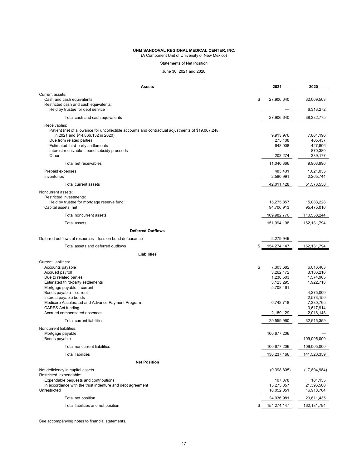(A Component Unit of University of New Mexico)

Statements of Net Position

June 30, 2021 and 2020

| <b>Assets</b>                                                                                                                                                                                                                                                                                                                        | 2021                                                                                          | 2020                                                                                                              |
|--------------------------------------------------------------------------------------------------------------------------------------------------------------------------------------------------------------------------------------------------------------------------------------------------------------------------------------|-----------------------------------------------------------------------------------------------|-------------------------------------------------------------------------------------------------------------------|
| Current assets:<br>Cash and cash equivalents<br>Restricted cash and cash equivalents:                                                                                                                                                                                                                                                | \$<br>27,906,640                                                                              | 32,069,503                                                                                                        |
| Held by trustee for debt service                                                                                                                                                                                                                                                                                                     |                                                                                               | 6,313,272                                                                                                         |
| Total cash and cash equivalents                                                                                                                                                                                                                                                                                                      | 27,906,640                                                                                    | 38,382,775                                                                                                        |
| Receivables:<br>Patient (net of allowance for uncollectible accounts and contractual adjustments of \$19,067,248<br>in 2021 and \$14,866,132 in 2020)<br>Due from related parties<br>Estimated third-party settlements<br>Interest receivable - bond subsidy proceeds<br>Other                                                       | 9,913,976<br>275,108<br>648,008<br>203,274                                                    | 7,861,196<br>405,437<br>427,806<br>870,380<br>339,177                                                             |
| Total net receivables                                                                                                                                                                                                                                                                                                                | 11,040,366                                                                                    | 9,903,996                                                                                                         |
| Prepaid expenses<br>Inventories                                                                                                                                                                                                                                                                                                      | 483,431<br>2,580,991                                                                          | 1,021,035<br>2,265,744                                                                                            |
| Total current assets                                                                                                                                                                                                                                                                                                                 | 42,011,428                                                                                    | 51,573,550                                                                                                        |
| Noncurrent assets:<br>Restricted investments:<br>Held by trustee for mortgage reserve fund<br>Capital assets, net                                                                                                                                                                                                                    | 15,275,857<br>94,706,913                                                                      | 15,083,228<br>95,475,016                                                                                          |
| Total noncurrent assets                                                                                                                                                                                                                                                                                                              | 109,982,770                                                                                   | 110,558,244                                                                                                       |
| Total assets                                                                                                                                                                                                                                                                                                                         | 151,994,198                                                                                   | 162, 131, 794                                                                                                     |
| <b>Deferred Outflows</b>                                                                                                                                                                                                                                                                                                             |                                                                                               |                                                                                                                   |
| Deferred outflows of resources – loss on bond defeasance                                                                                                                                                                                                                                                                             | 2,279,949                                                                                     |                                                                                                                   |
| Total assets and deferred outflows                                                                                                                                                                                                                                                                                                   | \$<br>154,274,147                                                                             | 162, 131, 794                                                                                                     |
| Liabilities                                                                                                                                                                                                                                                                                                                          |                                                                                               |                                                                                                                   |
| <b>Current liabilities:</b><br>Accounts payable<br>Accrued payroll<br>Due to related parties<br>Estimated third-party settlements<br>Mortgage payable - current<br>Bonds payable - current<br>Interest payable bonds<br>Medicare Accelerated and Advance Payment Program<br><b>CARES Act funding</b><br>Accrued compensated absences | \$<br>7,303,682<br>3,262,172<br>1,230,503<br>3,123,295<br>5,708,461<br>6,742,718<br>2,189,129 | 6,016,483<br>3,186,216<br>1,574,965<br>1,922,718<br>4,275,000<br>2,573,150<br>7,330,765<br>3,617,914<br>2,018,148 |
| <b>Total current liabilities</b>                                                                                                                                                                                                                                                                                                     | 29,559,960                                                                                    | 32,515,359                                                                                                        |
| Noncurrent liabilities:<br>Mortgage payable<br>Bonds payable                                                                                                                                                                                                                                                                         | 100,677,206                                                                                   | 109,005,000                                                                                                       |
| Total noncurrent liabilities                                                                                                                                                                                                                                                                                                         | 100,677,206                                                                                   | 109,005,000                                                                                                       |
| <b>Total liabilities</b>                                                                                                                                                                                                                                                                                                             | 130,237,166                                                                                   | 141,520,359                                                                                                       |
| <b>Net Position</b>                                                                                                                                                                                                                                                                                                                  |                                                                                               |                                                                                                                   |
| Net deficiency in capital assets<br>Restricted, expendable:<br>Expendable bequests and contributions<br>In accordance with the trust indenture and debt agreement<br>Unrestricted                                                                                                                                                    | (9,398,805)<br>107,878<br>15,275,857<br>18,052,051                                            | (17,804,984)<br>101,155<br>21,396,500<br>16,918,764                                                               |
| Total net position                                                                                                                                                                                                                                                                                                                   | 24,036,981                                                                                    | 20,611,435                                                                                                        |
| Total liabilities and net position                                                                                                                                                                                                                                                                                                   | \$<br>154,274,147                                                                             | 162,131,794                                                                                                       |

See accompanying notes to financial statements.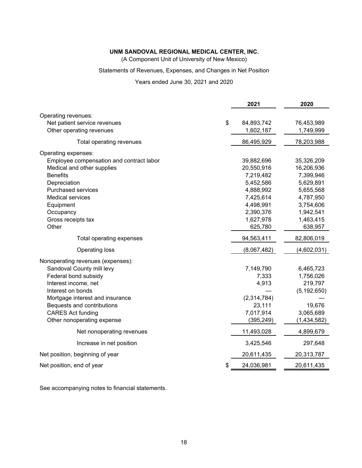(A Component Unit of University of New Mexico)

### Statements of Revenues, Expenses, and Changes in Net Position

Years ended June 30, 2021 and 2020

|                                          | 2021             | 2020          |
|------------------------------------------|------------------|---------------|
| Operating revenues:                      |                  |               |
| Net patient service revenues             | \$<br>84,893,742 | 76,453,989    |
| Other operating revenues                 | 1,602,187        | 1,749,999     |
| Total operating revenues                 | 86,495,929       | 78,203,988    |
| Operating expenses:                      |                  |               |
| Employee compensation and contract labor | 39,882,696       | 35,326,209    |
| Medical and other supplies               | 20,550,916       | 16,206,936    |
| <b>Benefits</b>                          | 7,219,482        | 7,399,946     |
| Depreciation                             | 5,452,586        | 5,629,891     |
| <b>Purchased services</b>                | 4,888,992        | 5,655,568     |
| <b>Medical services</b>                  | 7,425,614        | 4,787,950     |
| Equipment                                | 4,498,991        | 3,754,606     |
| Occupancy                                | 2,390,376        | 1,942,541     |
| Gross receipts tax                       | 1,627,978        | 1,463,415     |
| Other                                    | 625,780          | 638,957       |
| Total operating expenses                 | 94,563,411       | 82,806,019    |
| <b>Operating loss</b>                    | (8,067,482)      | (4,602,031)   |
| Nonoperating revenues (expenses):        |                  |               |
| Sandoval County mill levy                | 7,149,790        | 6,465,723     |
| Federal bond subsidy                     | 7,333            | 1,756,026     |
| Interest income, net                     | 4,913            | 219,797       |
| Interest on bonds                        |                  | (5, 192, 650) |
| Mortgage interest and insurance          | (2,314,784)      |               |
| Bequests and contributions               | 23,111           | 19,676        |
| <b>CARES Act funding</b>                 | 7,017,914        | 3,065,689     |
| Other nonoperating expense               | (395, 249)       | (1,434,582)   |
| Net nonoperating revenues                | 11,493,028       | 4,899,679     |
| Increase in net position                 | 3,425,546        | 297,648       |
| Net position, beginning of year          | 20,611,435       | 20,313,787    |
| Net position, end of year                | \$<br>24,036,981 | 20,611,435    |

See accompanying notes to financial statements.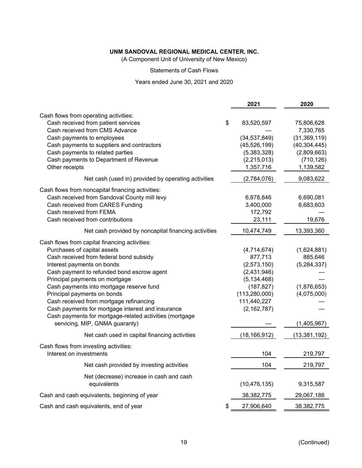(A Component Unit of University of New Mexico)

### Statements of Cash Flows

### Years ended June 30, 2021 and 2020

|                                                         | 2021             | 2020           |
|---------------------------------------------------------|------------------|----------------|
| Cash flows from operating activities:                   |                  |                |
| Cash received from patient services                     | \$<br>83,520,597 | 75,806,628     |
| Cash received from CMS Advance                          |                  | 7,330,765      |
| Cash payments to employees                              | (34, 537, 849)   | (31, 369, 119) |
| Cash payments to suppliers and contractors              | (45, 526, 199)   | (40, 304, 445) |
| Cash payments to related parties                        | (5,383,328)      | (2,809,663)    |
| Cash payments to Department of Revenue                  | (2,215,013)      | (710, 126)     |
| Other receipts                                          | 1,357,716        | 1,139,582      |
| Net cash (used in) provided by operating activities     | (2,784,076)      | 9,083,622      |
| Cash flows from noncapital financing activities:        |                  |                |
| Cash received from Sandoval County mill levy            | 6,878,846        | 6,690,081      |
| Cash received from CARES Funding                        | 3,400,000        | 6,683,603      |
| Cash received from FEMA                                 | 172,792          |                |
| Cash received from contributions                        | 23,111           | 19,676         |
| Net cash provided by noncapital financing activities    | 10,474,749       | 13,393,360     |
| Cash flows from capital financing activities:           |                  |                |
| Purchases of capital assets                             | (4,714,674)      | (1,624,881)    |
| Cash received from federal bond subsidy                 | 877,713          | 885,646        |
| Interest payments on bonds                              | (2,573,150)      | (5,284,337)    |
| Cash payment to refunded bond escrow agent              | (2,431,946)      |                |
| Principal payments on mortgage                          | (5, 134, 468)    |                |
| Cash payments into mortgage reserve fund                | (187, 827)       | (1,876,653)    |
| Principal payments on bonds                             | (113, 280, 000)  | (4,075,000)    |
| Cash received from mortgage refinancing                 | 111,440,227      |                |
| Cash payments for mortgage interest and insurance       | (2, 162, 787)    |                |
| Cash payments for mortgage-related activities (mortgage |                  |                |
| servicing, MIP, GNMA guaranty)                          |                  | (1,405,967)    |
| Net cash used in capital financing activities           | (18, 166, 912)   | (13, 381, 192) |
| Cash flows from investing activities:                   |                  |                |
| Interest on investments                                 | 104              | 219,797        |
| Net cash provided by investing activities               | 104              | 219,797        |
| Net (decrease) increase in cash and cash                |                  |                |
| equivalents                                             | (10, 476, 135)   | 9,315,587      |
| Cash and cash equivalents, beginning of year            | 38, 382, 775     | 29,067,188     |
| Cash and cash equivalents, end of year                  | \$<br>27,906,640 | 38,382,775     |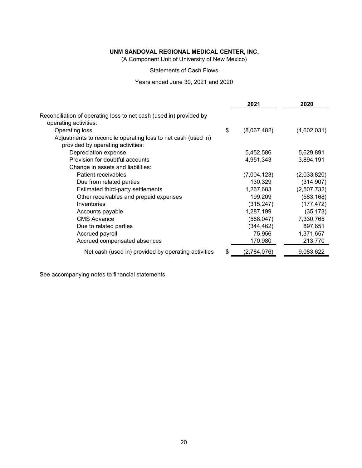(A Component Unit of University of New Mexico)

#### Statements of Cash Flows

Years ended June 30, 2021 and 2020

|                                                                                             | 2021              | 2020        |
|---------------------------------------------------------------------------------------------|-------------------|-------------|
| Reconciliation of operating loss to net cash (used in) provided by<br>operating activities: |                   |             |
| Operating loss                                                                              | \$<br>(8,067,482) | (4,602,031) |
| Adjustments to reconcile operating loss to net cash (used in)                               |                   |             |
| provided by operating activities:                                                           |                   |             |
| Depreciation expense                                                                        | 5,452,586         | 5,629,891   |
| Provision for doubtful accounts                                                             | 4,951,343         | 3,894,191   |
| Change in assets and liabilities:                                                           |                   |             |
| Patient receivables                                                                         | (7,004,123)       | (2,033,820) |
| Due from related parties                                                                    | 130,329           | (314, 907)  |
| Estimated third-party settlements                                                           | 1,267,683         | (2,507,732) |
| Other receivables and prepaid expenses                                                      | 199,209           | (583, 168)  |
| Inventories                                                                                 | (315, 247)        | (177, 472)  |
| Accounts payable                                                                            | 1,287,199         | (35, 173)   |
| <b>CMS Advance</b>                                                                          | (588, 047)        | 7,330,765   |
| Due to related parties                                                                      | (344, 462)        | 897,651     |
| Accrued payroll                                                                             | 75,956            | 1,371,657   |
| Accrued compensated absences                                                                | 170,980           | 213,770     |
| Net cash (used in) provided by operating activities                                         | \$<br>(2,784,076) | 9,083,622   |
|                                                                                             |                   |             |

See accompanying notes to financial statements.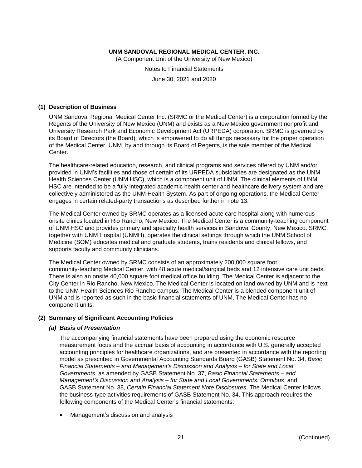(A Component Unit of the University of New Mexico)

Notes to Financial Statements

June 30, 2021 and 2020

#### **(1) Description of Business**

UNM Sandoval Regional Medical Center Inc. (SRMC or the Medical Center) is a corporation formed by the Regents of the University of New Mexico (UNM) and exists as a New Mexico government nonprofit and University Research Park and Economic Development Act (URPEDA) corporation. SRMC is governed by its Board of Directors (the Board), which is empowered to do all things necessary for the proper operation of the Medical Center. UNM, by and through its Board of Regents, is the sole member of the Medical Center.

The healthcare-related education, research, and clinical programs and services offered by UNM and/or provided in UNM's facilities and those of certain of its URPEDA subsidiaries are designated as the UNM Health Sciences Center (UNM HSC), which is a component unit of UNM. The clinical elements of UNM HSC are intended to be a fully integrated academic health center and healthcare delivery system and are collectively administered as the UNM Health System. As part of ongoing operations, the Medical Center engages in certain related-party transactions as described further in note 13.

The Medical Center owned by SRMC operates as a licensed acute care hospital along with numerous onsite clinics located in Rio Rancho, New Mexico. The Medical Center is a community-teaching component of UNM HSC and provides primary and specialty health services in Sandoval County, New Mexico. SRMC, together with UNM Hospital (UNMH), operates the clinical settings through which the UNM School of Medicine (SOM) educates medical and graduate students, trains residents and clinical fellows, and supports faculty and community clinicians.

The Medical Center owned by SRMC consists of an approximately 200,000 square foot community-teaching Medical Center, with 48 acute medical/surgical beds and 12 intensive care unit beds. There is also an onsite 40,000 square foot medical office building. The Medical Center is adjacent to the City Center in Rio Rancho, New Mexico. The Medical Center is located on land owned by UNM and is next to the UNM Health Sciences Rio Rancho campus. The Medical Center is a blended component unit of UNM and is reported as such in the basic financial statements of UNM. The Medical Center has no component units.

### **(2) Summary of Significant Accounting Policies**

#### *(a) Basis of Presentation*

The accompanying financial statements have been prepared using the economic resource measurement focus and the accrual basis of accounting in accordance with U.S. generally accepted accounting principles for healthcare organizations, and are presented in accordance with the reporting model as prescribed in Governmental Accounting Standards Board (GASB) Statement No. 34, *Basic Financial Statements – and Management's Discussion and Analysis – for State and Local Governments*, as amended by GASB Statement No. 37, *Basic Financial Statements – and Management's Discussion and Analysis – for State and Local Governments: Omnibus*, and GASB Statement No. 38, *Certain Financial Statement Note Disclosures*. The Medical Center follows the business-type activities requirements of GASB Statement No. 34. This approach requires the following components of the Medical Center's financial statements:

• Management's discussion and analysis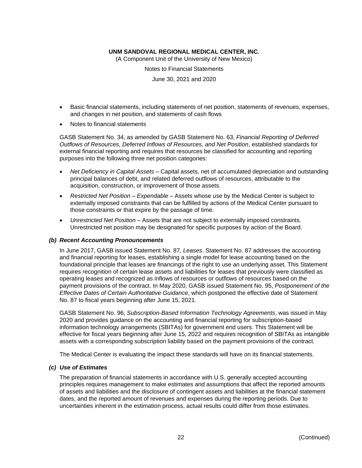(A Component Unit of the University of New Mexico)

Notes to Financial Statements

June 30, 2021 and 2020

- Basic financial statements, including statements of net position, statements of revenues, expenses, and changes in net position, and statements of cash flows
- Notes to financial statements

GASB Statement No. 34, as amended by GASB Statement No. 63, *Financial Reporting of Deferred Outflows of Resources, Deferred Inflows of Resources, and Net Position*, established standards for external financial reporting and requires that resources be classified for accounting and reporting purposes into the following three net position categories:

- *Net Deficiency in Capital Assets* Capital assets, net of accumulated depreciation and outstanding principal balances of debt, and related deferred outflows of resources, attributable to the acquisition, construction, or improvement of those assets.
- *Restricted Net Position – Expendable* Assets whose use by the Medical Center is subject to externally imposed constraints that can be fulfilled by actions of the Medical Center pursuant to those constraints or that expire by the passage of time.
- *Unrestricted Net Position* Assets that are not subject to externally imposed constraints. Unrestricted net position may be designated for specific purposes by action of the Board.

#### *(b) Recent Accounting Pronouncements*

In June 2017, GASB issued Statement No. 87, *Leases*. Statement No. 87 addresses the accounting and financial reporting for leases, establishing a single model for lease accounting based on the foundational principle that leases are financings of the right to use an underlying asset. This Statement requires recognition of certain lease assets and liabilities for leases that previously were classified as operating leases and recognized as inflows of resources or outflows of resources based on the payment provisions of the contract. In May 2020, GASB issued Statement No. 95, *Postponement of the Effective Dates of Certain Authoritative Guidance*, which postponed the effective date of Statement No. 87 to fiscal years beginning after June 15, 2021.

GASB Statement No. 96, *Subscription-Based Information Technology Agreements*, was issued in May 2020 and provides guidance on the accounting and financial reporting for subscription-based information technology arrangements (SBITAs) for government end users. This Statement will be effective for fiscal years beginning after June 15, 2022 and requires recognition of SBITAs as intangible assets with a corresponding subscription liability based on the payment provisions of the contract.

The Medical Center is evaluating the impact these standards will have on its financial statements.

#### *(c) Use of Estimates*

The preparation of financial statements in accordance with U.S. generally accepted accounting principles requires management to make estimates and assumptions that affect the reported amounts of assets and liabilities and the disclosure of contingent assets and liabilities at the financial statement dates, and the reported amount of revenues and expenses during the reporting periods. Due to uncertainties inherent in the estimation process, actual results could differ from those estimates.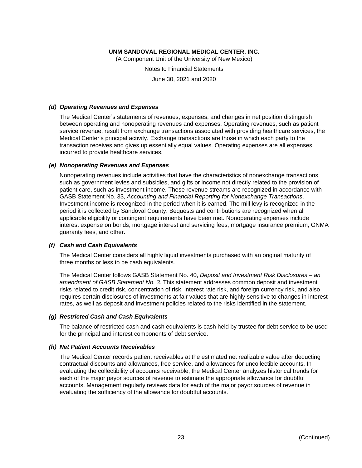(A Component Unit of the University of New Mexico)

Notes to Financial Statements

June 30, 2021 and 2020

#### *(d) Operating Revenues and Expenses*

The Medical Center's statements of revenues, expenses, and changes in net position distinguish between operating and nonoperating revenues and expenses. Operating revenues, such as patient service revenue, result from exchange transactions associated with providing healthcare services, the Medical Center's principal activity. Exchange transactions are those in which each party to the transaction receives and gives up essentially equal values. Operating expenses are all expenses incurred to provide healthcare services.

#### *(e) Nonoperating Revenues and Expenses*

Nonoperating revenues include activities that have the characteristics of nonexchange transactions, such as government levies and subsidies, and gifts or income not directly related to the provision of patient care, such as investment income. These revenue streams are recognized in accordance with GASB Statement No. 33, *Accounting and Financial Reporting for Nonexchange Transactions*. Investment income is recognized in the period when it is earned. The mill levy is recognized in the period it is collected by Sandoval County. Bequests and contributions are recognized when all applicable eligibility or contingent requirements have been met. Nonoperating expenses include interest expense on bonds, mortgage interest and servicing fees, mortgage insurance premium, GNMA guaranty fees, and other.

#### *(f) Cash and Cash Equivalents*

The Medical Center considers all highly liquid investments purchased with an original maturity of three months or less to be cash equivalents.

The Medical Center follows GASB Statement No. 40, *Deposit and Investment Risk Disclosures – an amendment of GASB Statement No. 3*. This statement addresses common deposit and investment risks related to credit risk, concentration of risk, interest rate risk, and foreign currency risk, and also requires certain disclosures of investments at fair values that are highly sensitive to changes in interest rates, as well as deposit and investment policies related to the risks identified in the statement.

#### *(g) Restricted Cash and Cash Equivalents*

The balance of restricted cash and cash equivalents is cash held by trustee for debt service to be used for the principal and interest components of debt service.

#### *(h) Net Patient Accounts Receivables*

The Medical Center records patient receivables at the estimated net realizable value after deducting contractual discounts and allowances, free service, and allowances for uncollectible accounts. In evaluating the collectibility of accounts receivable, the Medical Center analyzes historical trends for each of the major payor sources of revenue to estimate the appropriate allowance for doubtful accounts. Management regularly reviews data for each of the major payor sources of revenue in evaluating the sufficiency of the allowance for doubtful accounts.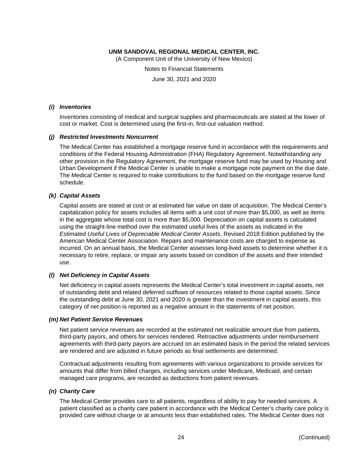(A Component Unit of the University of New Mexico)

Notes to Financial Statements

June 30, 2021 and 2020

#### *(i) Inventories*

Inventories consisting of medical and surgical supplies and pharmaceuticals are stated at the lower of cost or market. Cost is determined using the first-in, first-out valuation method.

#### *(j) Restricted Investments Noncurrent*

The Medical Center has established a mortgage reserve fund in accordance with the requirements and conditions of the Federal Housing Administration (FHA) Regulatory Agreement. Notwithstanding any other provision in the Regulatory Agreement, the mortgage reserve fund may be used by Housing and Urban Development if the Medical Center is unable to make a mortgage note payment on the due date. The Medical Center is required to make contributions to the fund based on the mortgage reserve fund schedule.

#### *(k) Capital Assets*

Capital assets are stated at cost or at estimated fair value on date of acquisition. The Medical Center's capitalization policy for assets includes all items with a unit cost of more than \$5,000, as well as items in the aggregate whose total cost is more than \$5,000. Depreciation on capital assets is calculated using the straight-line method over the estimated useful lives of the assets as indicated in the *Estimated Useful Lives of Depreciable Medical Center Assets*, Revised 2018 Edition published by the American Medical Center Association. Repairs and maintenance costs are charged to expense as incurred. On an annual basis, the Medical Center assesses long-lived assets to determine whether it is necessary to retire, replace, or impair any assets based on condition of the assets and their intended use.

#### *(l) Net Deficiency in Capital Assets*

Net deficiency in capital assets represents the Medical Center's total investment in capital assets, net of outstanding debt and related deferred outflows of resources related to those capital assets. Since the outstanding debt at June 30, 2021 and 2020 is greater than the investment in capital assets, this category of net position is reported as a negative amount in the statements of net position.

#### *(m) Net Patient Service Revenues*

Net patient service revenues are recorded at the estimated net realizable amount due from patients, third-party payors, and others for services rendered. Retroactive adjustments under reimbursement agreements with third-party payors are accrued on an estimated basis in the period the related services are rendered and are adjusted in future periods as final settlements are determined.

Contractual adjustments resulting from agreements with various organizations to provide services for amounts that differ from billed charges, including services under Medicare, Medicaid, and certain managed care programs, are recorded as deductions from patient revenues.

#### *(n) Charity Care*

The Medical Center provides care to all patients, regardless of ability to pay for needed services. A patient classified as a charity care patient in accordance with the Medical Center's charity care policy is provided care without charge or at amounts less than established rates. The Medical Center does not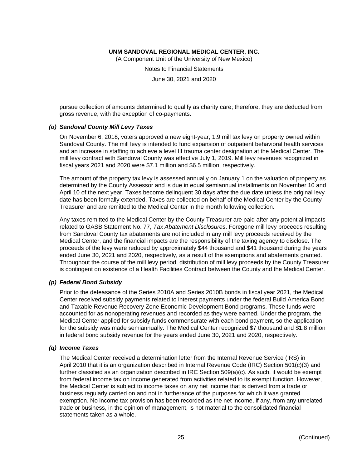(A Component Unit of the University of New Mexico)

Notes to Financial Statements

June 30, 2021 and 2020

pursue collection of amounts determined to qualify as charity care; therefore, they are deducted from gross revenue, with the exception of co-payments.

#### *(o) Sandoval County Mill Levy Taxes*

On November 6, 2018, voters approved a new eight-year, 1.9 mill tax levy on property owned within Sandoval County. The mill levy is intended to fund expansion of outpatient behavioral health services and an increase in staffing to achieve a level III trauma center designation at the Medical Center. The mill levy contract with Sandoval County was effective July 1, 2019. Mill levy revenues recognized in fiscal years 2021 and 2020 were \$7.1 million and \$6.5 million, respectively.

The amount of the property tax levy is assessed annually on January 1 on the valuation of property as determined by the County Assessor and is due in equal semiannual installments on November 10 and April 10 of the next year. Taxes become delinquent 30 days after the due date unless the original levy date has been formally extended. Taxes are collected on behalf of the Medical Center by the County Treasurer and are remitted to the Medical Center in the month following collection.

Any taxes remitted to the Medical Center by the County Treasurer are paid after any potential impacts related to GASB Statement No. 77, *Tax Abatement Disclosures*. Foregone mill levy proceeds resulting from Sandoval County tax abatements are not included in any mill levy proceeds received by the Medical Center, and the financial impacts are the responsibility of the taxing agency to disclose. The proceeds of the levy were reduced by approximately \$44 thousand and \$41 thousand during the years ended June 30, 2021 and 2020, respectively, as a result of the exemptions and abatements granted. Throughout the course of the mill levy period, distribution of mill levy proceeds by the County Treasurer is contingent on existence of a Health Facilities Contract between the County and the Medical Center.

#### *(p) Federal Bond Subsidy*

Prior to the defeasance of the Series 2010A and Series 2010B bonds in fiscal year 2021, the Medical Center received subsidy payments related to interest payments under the federal Build America Bond and Taxable Revenue Recovery Zone Economic Development Bond programs. These funds were accounted for as nonoperating revenues and recorded as they were earned. Under the program, the Medical Center applied for subsidy funds commensurate with each bond payment, so the application for the subsidy was made semiannually. The Medical Center recognized \$7 thousand and \$1.8 million in federal bond subsidy revenue for the years ended June 30, 2021 and 2020, respectively.

### *(q) Income Taxes*

The Medical Center received a determination letter from the Internal Revenue Service (IRS) in April 2010 that it is an organization described in Internal Revenue Code (IRC) Section 501(c)(3) and further classified as an organization described in IRC Section 509(a)(c). As such, it would be exempt from federal income tax on income generated from activities related to its exempt function. However, the Medical Center is subject to income taxes on any net income that is derived from a trade or business regularly carried on and not in furtherance of the purposes for which it was granted exemption. No income tax provision has been recorded as the net income, if any, from any unrelated trade or business, in the opinion of management, is not material to the consolidated financial statements taken as a whole.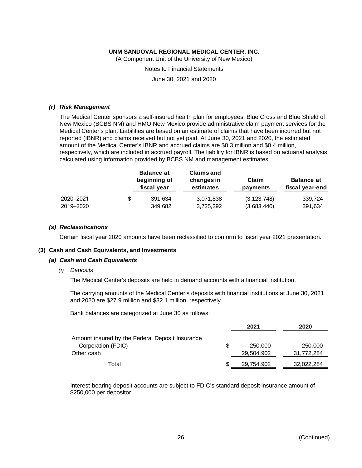(A Component Unit of the University of New Mexico)

Notes to Financial Statements

June 30, 2021 and 2020

#### *(r) Risk Management*

The Medical Center sponsors a self-insured health plan for employees. Blue Cross and Blue Shield of New Mexico (BCBS NM) and HMO New Mexico provide administrative claim payment services for the Medical Center's plan. Liabilities are based on an estimate of claims that have been incurred but not reported (IBNR) and claims received but not yet paid. At June 30, 2021 and 2020, the estimated amount of the Medical Center's IBNR and accrued claims are \$0.3 million and \$0.4 million, respectively, which are included in accrued payroll. The liability for IBNR is based on actuarial analysis calculated using information provided by BCBS NM and management estimates.

|           | <b>Balance at</b><br>beginning of<br>fiscal year | <b>Claims and</b><br>changes in<br>estimates | Claim<br>payments | <b>Balance at</b><br>fiscal year-end |
|-----------|--------------------------------------------------|----------------------------------------------|-------------------|--------------------------------------|
| 2020-2021 | \$<br>391.634                                    | 3,071,838                                    | (3, 123, 748)     | 339,724                              |
| 2019-2020 | 349,682                                          | 3,725,392                                    | (3,683,440)       | 391,634                              |

#### *(s) Reclassifications*

Certain fiscal year 2020 amounts have been reclassified to conform to fiscal year 2021 presentation.

#### **(3) Cash and Cash Equivalents, and Investments**

#### *(a) Cash and Cash Equivalents*

*(i) Deposits*

The Medical Center's deposits are held in demand accounts with a financial institution.

The carrying amounts of the Medical Center's deposits with financial institutions at June 30, 2021 and 2020 are \$27.9 million and \$32.1 million, respectively.

Bank balances are categorized at June 30 as follows:

|                                                 |   | 2021       | 2020       |
|-------------------------------------------------|---|------------|------------|
| Amount insured by the Federal Deposit Insurance |   |            |            |
| Corporation (FDIC)                              | S | 250,000    | 250,000    |
| Other cash                                      |   | 29,504,902 | 31,772,284 |
| Total                                           |   | 29,754,902 | 32,022,284 |

Interest-bearing deposit accounts are subject to FDIC's standard deposit insurance amount of \$250,000 per depositor.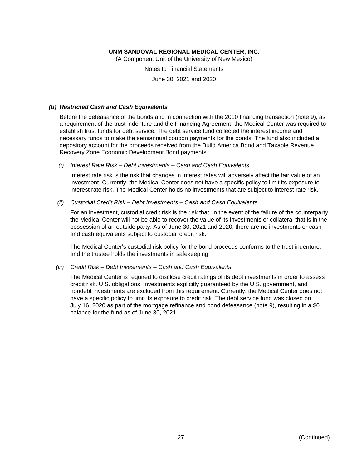(A Component Unit of the University of New Mexico)

Notes to Financial Statements

June 30, 2021 and 2020

#### *(b) Restricted Cash and Cash Equivalents*

Before the defeasance of the bonds and in connection with the 2010 financing transaction (note 9), as a requirement of the trust indenture and the Financing Agreement, the Medical Center was required to establish trust funds for debt service. The debt service fund collected the interest income and necessary funds to make the semiannual coupon payments for the bonds. The fund also included a depository account for the proceeds received from the Build America Bond and Taxable Revenue Recovery Zone Economic Development Bond payments.

*(i) Interest Rate Risk – Debt Investments – Cash and Cash Equivalents*

Interest rate risk is the risk that changes in interest rates will adversely affect the fair value of an investment. Currently, the Medical Center does not have a specific policy to limit its exposure to interest rate risk. The Medical Center holds no investments that are subject to interest rate risk.

#### *(ii) Custodial Credit Risk – Debt Investments – Cash and Cash Equivalents*

For an investment, custodial credit risk is the risk that, in the event of the failure of the counterparty, the Medical Center will not be able to recover the value of its investments or collateral that is in the possession of an outside party. As of June 30, 2021 and 2020, there are no investments or cash and cash equivalents subject to custodial credit risk.

The Medical Center's custodial risk policy for the bond proceeds conforms to the trust indenture, and the trustee holds the investments in safekeeping.

#### *(iii) Credit Risk – Debt Investments – Cash and Cash Equivalents*

The Medical Center is required to disclose credit ratings of its debt investments in order to assess credit risk. U.S. obligations, investments explicitly guaranteed by the U.S. government, and nondebt investments are excluded from this requirement. Currently, the Medical Center does not have a specific policy to limit its exposure to credit risk. The debt service fund was closed on July 16, 2020 as part of the mortgage refinance and bond defeasance (note 9), resulting in a \$0 balance for the fund as of June 30, 2021.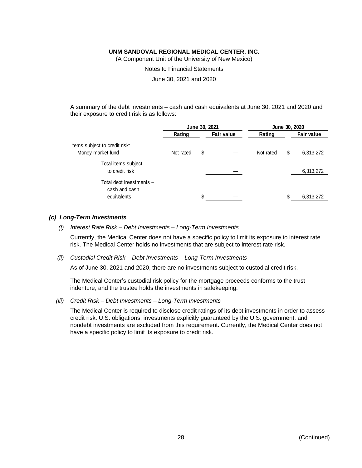(A Component Unit of the University of New Mexico)

Notes to Financial Statements

June 30, 2021 and 2020

A summary of the debt investments – cash and cash equivalents at June 30, 2021 and 2020 and their exposure to credit risk is as follows:

|                                           | June 30, 2021 |    |                   | June 30, 2020 |   |                   |
|-------------------------------------------|---------------|----|-------------------|---------------|---|-------------------|
|                                           | Rating        |    | <b>Fair value</b> | Rating        |   | <b>Fair value</b> |
| Items subject to credit risk:             |               |    |                   |               |   |                   |
| Money market fund                         | Not rated     | \$ |                   | Not rated     | S | 6,313,272         |
| Total items subject                       |               |    |                   |               |   |                   |
| to credit risk                            |               |    |                   |               |   | 6,313,272         |
| Total debt investments -<br>cash and cash |               |    |                   |               |   |                   |
| equivalents                               |               | \$ |                   |               |   | 6,313,272         |
|                                           |               |    |                   |               |   |                   |

#### *(c) Long-Term Investments*

*(i) Interest Rate Risk – Debt Investments – Long-Term Investments*

Currently, the Medical Center does not have a specific policy to limit its exposure to interest rate risk. The Medical Center holds no investments that are subject to interest rate risk.

#### *(ii) Custodial Credit Risk – Debt Investments – Long-Term Investments*

As of June 30, 2021 and 2020, there are no investments subject to custodial credit risk.

The Medical Center's custodial risk policy for the mortgage proceeds conforms to the trust indenture, and the trustee holds the investments in safekeeping.

*(iii) Credit Risk – Debt Investments – Long-Term Investments*

The Medical Center is required to disclose credit ratings of its debt investments in order to assess credit risk. U.S. obligations, investments explicitly guaranteed by the U.S. government, and nondebt investments are excluded from this requirement. Currently, the Medical Center does not have a specific policy to limit its exposure to credit risk.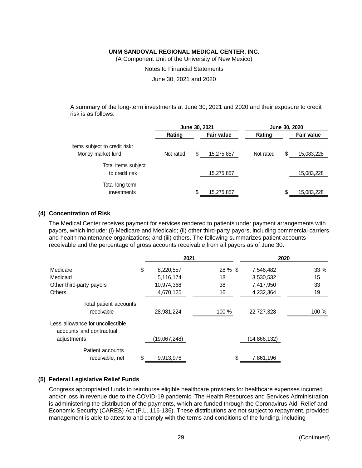(A Component Unit of the University of New Mexico)

Notes to Financial Statements

June 30, 2021 and 2020

A summary of the long-term investments at June 30, 2021 and 2020 and their exposure to credit risk is as follows:

|                                       | June 30, 2021 |    |                   | June 30, 2020 |    |                   |  |
|---------------------------------------|---------------|----|-------------------|---------------|----|-------------------|--|
|                                       | Rating        |    | <b>Fair value</b> | Rating        |    | <b>Fair value</b> |  |
| Items subject to credit risk:         |               |    |                   |               |    |                   |  |
| Money market fund                     | Not rated     | S  | 15,275,857        | Not rated     | \$ | 15,083,228        |  |
| Total items subject<br>to credit risk |               |    | 15,275,857        |               |    | 15,083,228        |  |
|                                       |               |    |                   |               |    |                   |  |
| Total long-term<br>investments        |               | \$ | 15,275,857        |               | S  | 15,083,228        |  |
|                                       |               |    |                   |               |    |                   |  |

### **(4) Concentration of Risk**

The Medical Center receives payment for services rendered to patients under payment arrangements with payors, which include: (i) Medicare and Medicaid; (ii) other third-party payors, including commercial carriers and health maintenance organizations; and (iii) others. The following summarizes patient accounts receivable and the percentage of gross accounts receivable from all payors as of June 30:

|                                                              |    | 2021         |         | 2020         |       |  |
|--------------------------------------------------------------|----|--------------|---------|--------------|-------|--|
| Medicare                                                     | \$ | 8,220,557    | 28 % \$ | 7,546,482    | 33 %  |  |
| Medicaid                                                     |    | 5,116,174    | 18      | 3,530,532    | 15    |  |
| Other third-party payors                                     |    | 10,974,368   | 38      | 7,417,950    | 33    |  |
| <b>Others</b>                                                |    | 4,670,125    | 16      | 4,232,364    | 19    |  |
| Total patient accounts<br>receivable                         |    | 28,981,224   | 100 %   | 22,727,328   | 100 % |  |
| Less allowance for uncollectible<br>accounts and contractual |    |              |         |              |       |  |
| adjustments                                                  |    | (19,067,248) |         | (14,866,132) |       |  |
| Patient accounts<br>receivable, net                          | \$ | 9,913,976    | \$      | 7,861,196    |       |  |

### **(5) Federal Legislative Relief Funds**

Congress appropriated funds to reimburse eligible healthcare providers for healthcare expenses incurred and/or loss in revenue due to the COVID-19 pandemic. The Health Resources and Services Administration is administering the distribution of the payments, which are funded through the Coronavirus Aid, Relief and Economic Security (CARES) Act (P.L. 116-136). These distributions are not subject to repayment, provided management is able to attest to and comply with the terms and conditions of the funding, including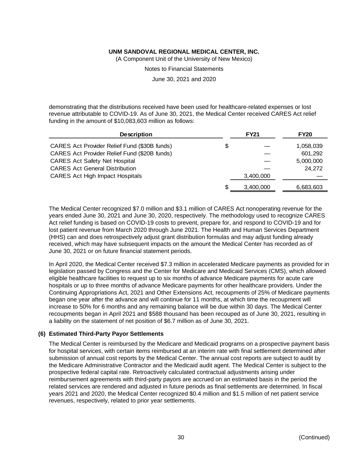(A Component Unit of the University of New Mexico)

Notes to Financial Statements

June 30, 2021 and 2020

demonstrating that the distributions received have been used for healthcare-related expenses or lost revenue attributable to COVID-19. As of June 30, 2021, the Medical Center received CARES Act relief funding in the amount of \$10,083,603 million as follows:

| <b>Description</b>                           |     | <b>FY21</b> | <b>FY20</b> |
|----------------------------------------------|-----|-------------|-------------|
| CARES Act Provider Relief Fund (\$30B funds) | \$  |             | 1,058,039   |
| CARES Act Provider Relief Fund (\$20B funds) |     |             | 601,292     |
| <b>CARES Act Safety Net Hospital</b>         |     |             | 5,000,000   |
| <b>CARES Act General Distribution</b>        |     |             | 24,272      |
| <b>CARES Act High Impact Hospitals</b>       |     | 3,400,000   |             |
|                                              | \$. | 3,400,000   | 6,683,603   |

The Medical Center recognized \$7.0 million and \$3.1 million of CARES Act nonoperating revenue for the years ended June 30, 2021 and June 30, 2020, respectively. The methodology used to recognize CARES Act relief funding is based on COVID-19 costs to prevent, prepare for, and respond to COVID-19 and for lost patient revenue from March 2020 through June 2021. The Health and Human Services Department (HHS) can and does retrospectively adjust grant distribution formulas and may adjust funding already received, which may have subsequent impacts on the amount the Medical Center has recorded as of June 30, 2021 or on future financial statement periods.

In April 2020, the Medical Center received \$7.3 million in accelerated Medicare payments as provided for in legislation passed by Congress and the Center for Medicare and Medicaid Services (CMS), which allowed eligible healthcare facilities to request up to six months of advance Medicare payments for acute care hospitals or up to three months of advance Medicare payments for other healthcare providers. Under the Continuing Appropriations Act, 2021 and Other Extensions Act, recoupments of 25% of Medicare payments began one year after the advance and will continue for 11 months, at which time the recoupment will increase to 50% for 6 months and any remaining balance will be due within 30 days. The Medical Center recoupments began in April 2021 and \$588 thousand has been recouped as of June 30, 2021, resulting in a liability on the statement of net position of \$6.7 million as of June 30, 2021.

#### **(6) Estimated Third-Party Payor Settlements**

The Medical Center is reimbursed by the Medicare and Medicaid programs on a prospective payment basis for hospital services, with certain items reimbursed at an interim rate with final settlement determined after submission of annual cost reports by the Medical Center. The annual cost reports are subject to audit by the Medicare Administrative Contractor and the Medicaid audit agent. The Medical Center is subject to the prospective federal capital rate. Retroactively calculated contractual adjustments arising under reimbursement agreements with third-party payors are accrued on an estimated basis in the period the related services are rendered and adjusted in future periods as final settlements are determined. In fiscal years 2021 and 2020, the Medical Center recognized \$0.4 million and \$1.5 million of net patient service revenues, respectively, related to prior year settlements.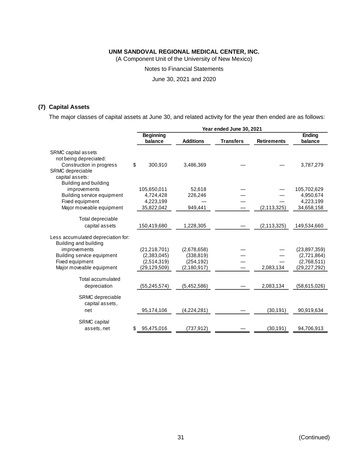(A Component Unit of the University of New Mexico)

Notes to Financial Statements

June 30, 2021 and 2020

### **(7) Capital Assets**

The major classes of capital assets at June 30, and related activity for the year then ended are as follows:

|                                                                                               | Year ended June 30, 2021    |                  |                  |                    |                          |  |  |
|-----------------------------------------------------------------------------------------------|-----------------------------|------------------|------------------|--------------------|--------------------------|--|--|
|                                                                                               | <b>Beginning</b><br>balance | <b>Additions</b> | <b>Transfers</b> | <b>Retirements</b> | <b>Ending</b><br>balance |  |  |
| SRMC capital assets<br>not being depreciated:<br>Construction in progress<br>SRMC depreciable | \$<br>300,910               | 3,486,369        |                  |                    | 3,787,279                |  |  |
| capital assets:<br>Building and building                                                      |                             |                  |                  |                    |                          |  |  |
| improvements                                                                                  | 105,650,011                 | 52,618           |                  |                    | 105,702,629              |  |  |
| Building service equipment                                                                    | 4,724,428                   | 226,246          |                  |                    | 4,950,674                |  |  |
| Fixed equipment                                                                               | 4,223,199                   |                  |                  |                    | 4,223,199                |  |  |
| Major moveable equipment                                                                      | 35,822,042                  | 949,441          |                  | (2, 113, 325)      | 34,658,158               |  |  |
| Total depreciable                                                                             |                             |                  |                  |                    |                          |  |  |
| capital assets                                                                                | 150,419,680                 | 1,228,305        |                  | (2, 113, 325)      | 149,534,660              |  |  |
| Less accumulated depreciation for:<br>Building and building                                   |                             |                  |                  |                    |                          |  |  |
| improvements                                                                                  | (21, 218, 701)              | (2,678,658)      |                  |                    | (23, 897, 359)           |  |  |
| Building service equipment                                                                    | (2,383,045)                 | (338, 819)       |                  |                    | (2,721,864)              |  |  |
| Fixed equipment                                                                               | (2,514,319)                 | (254, 192)       |                  |                    | (2,768,511)              |  |  |
| Major moveable equipment                                                                      | (29,129,509)                | (2,180,917)      |                  | 2,083,134          | (29, 227, 292)           |  |  |
| Total accumulated                                                                             |                             |                  |                  |                    |                          |  |  |
| depreciation                                                                                  | (55, 245, 574)              | (5,452,586)      |                  | 2,083,134          | (58,615,026)             |  |  |
| SRMC depreciable<br>capital assets.                                                           |                             |                  |                  |                    |                          |  |  |
| net                                                                                           | 95,174,106                  | (4,224,281)      |                  | (30, 191)          | 90,919,634               |  |  |
| SRMC capital<br>assets, net                                                                   | 95,475,016                  | (737, 912)       |                  | (30, 191)          | 94,706,913               |  |  |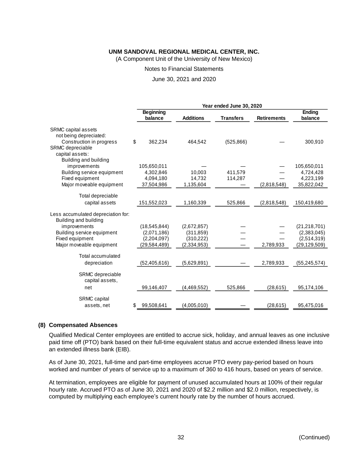(A Component Unit of the University of New Mexico)

#### Notes to Financial Statements

June 30, 2021 and 2020

|                                                                                                                                           | Year ended June 30, 2020 |                  |                  |                    |                |  |  |
|-------------------------------------------------------------------------------------------------------------------------------------------|--------------------------|------------------|------------------|--------------------|----------------|--|--|
|                                                                                                                                           | <b>Beginning</b>         |                  |                  |                    |                |  |  |
|                                                                                                                                           | balance                  | <b>Additions</b> | <b>Transfers</b> | <b>Retirements</b> | balance        |  |  |
| SRMC capital assets<br>not being depreciated:<br>Construction in progress<br>SRMC depreciable<br>capital assets:<br>Building and building | \$<br>362,234            | 464,542          | (525, 866)       |                    | 300,910        |  |  |
| improvements                                                                                                                              | 105,650,011              |                  |                  |                    | 105,650,011    |  |  |
| Building service equipment                                                                                                                | 4,302,846                | 10.003           | 411.579          |                    | 4,724,428      |  |  |
| Fixed equipment                                                                                                                           | 4,094,180                | 14,732           | 114,287          |                    | 4,223,199      |  |  |
| Major moveable equipment                                                                                                                  | 37,504,986               | 1,135,604        |                  | (2,818,548)        | 35,822,042     |  |  |
| Total depreciable<br>capital assets                                                                                                       | 151,552,023              | 1,160,339        | 525,866          | (2,818,548)        | 150,419,680    |  |  |
| Less accumulated depreciation for:<br>Building and building                                                                               |                          |                  |                  |                    |                |  |  |
| improvements                                                                                                                              | (18, 545, 844)           | (2,672,857)      |                  |                    | (21, 218, 701) |  |  |
| Building service equipment                                                                                                                | (2,071,186)              | (311, 859)       |                  |                    | (2,383,045)    |  |  |
| Fixed equipment                                                                                                                           | (2,204,097)              | (310, 222)       |                  |                    | (2,514,319)    |  |  |
| Major moveable equipment                                                                                                                  | (29,584,489)             | (2,334,953)      |                  | 2,789,933          | (29, 129, 509) |  |  |
| Total accumulated                                                                                                                         |                          |                  |                  |                    |                |  |  |
| depreciation                                                                                                                              | (52, 405, 616)           | (5,629,891)      |                  | 2,789,933          | (55, 245, 574) |  |  |
| <b>SRMC</b> depreciable<br>capital assets,<br>net                                                                                         | 99,146,407               | (4, 469, 552)    | 525,866          | (28, 615)          | 95,174,106     |  |  |
|                                                                                                                                           |                          |                  |                  |                    |                |  |  |
| <b>SRMC</b> capital<br>assets, net                                                                                                        | 99,508,641<br>\$         | (4,005,010)      |                  | (28, 615)          | 95,475,016     |  |  |

#### **(8) Compensated Absences**

Qualified Medical Center employees are entitled to accrue sick, holiday, and annual leaves as one inclusive paid time off (PTO) bank based on their full-time equivalent status and accrue extended illness leave into an extended illness bank (EIB).

As of June 30, 2021, full-time and part-time employees accrue PTO every pay-period based on hours worked and number of years of service up to a maximum of 360 to 416 hours, based on years of service.

At termination, employees are eligible for payment of unused accumulated hours at 100% of their regular hourly rate. Accrued PTO as of June 30, 2021 and 2020 of \$2.2 million and \$2.0 million, respectively, is computed by multiplying each employee's current hourly rate by the number of hours accrued.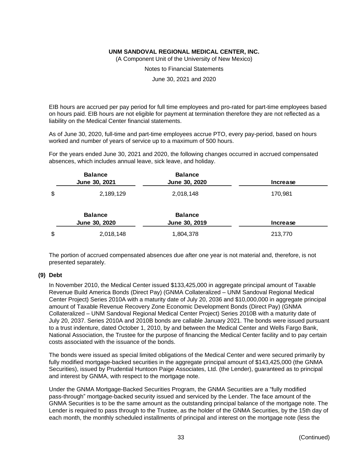(A Component Unit of the University of New Mexico)

Notes to Financial Statements

June 30, 2021 and 2020

EIB hours are accrued per pay period for full time employees and pro-rated for part-time employees based on hours paid. EIB hours are not eligible for payment at termination therefore they are not reflected as a liability on the Medical Center financial statements.

As of June 30, 2020, full-time and part-time employees accrue PTO, every pay-period, based on hours worked and number of years of service up to a maximum of 500 hours.

For the years ended June 30, 2021 and 2020, the following changes occurred in accrued compensated absences, which includes annual leave, sick leave, and holiday.

|       | <b>Balance</b><br>June 30, 2021 | <b>Balance</b><br>June 30, 2020 | Increase |
|-------|---------------------------------|---------------------------------|----------|
| \$    | 2,189,129                       | 2,018,148                       | 170,981  |
|       | <b>Balance</b><br>June 30, 2020 | <b>Balance</b><br>June 30, 2019 | Increase |
| $\$\$ | 2,018,148                       | 1,804,378                       | 213,770  |

The portion of accrued compensated absences due after one year is not material and, therefore, is not presented separately.

### **(9) Debt**

In November 2010, the Medical Center issued \$133,425,000 in aggregate principal amount of Taxable Revenue Build America Bonds (Direct Pay) (GNMA Collateralized – UNM Sandoval Regional Medical Center Project) Series 2010A with a maturity date of July 20, 2036 and \$10,000,000 in aggregate principal amount of Taxable Revenue Recovery Zone Economic Development Bonds (Direct Pay) (GNMA Collateralized – UNM Sandoval Regional Medical Center Project) Series 2010B with a maturity date of July 20, 2037. Series 2010A and 2010B bonds are callable January 2021. The bonds were issued pursuant to a trust indenture, dated October 1, 2010, by and between the Medical Center and Wells Fargo Bank, National Association, the Trustee for the purpose of financing the Medical Center facility and to pay certain costs associated with the issuance of the bonds.

The bonds were issued as special limited obligations of the Medical Center and were secured primarily by fully modified mortgage-backed securities in the aggregate principal amount of \$143,425,000 (the GNMA Securities), issued by Prudential Huntoon Paige Associates, Ltd. (the Lender), guaranteed as to principal and interest by GNMA, with respect to the mortgage note.

Under the GNMA Mortgage-Backed Securities Program, the GNMA Securities are a "fully modified pass-through" mortgage-backed security issued and serviced by the Lender. The face amount of the GNMA Securities is to be the same amount as the outstanding principal balance of the mortgage note. The Lender is required to pass through to the Trustee, as the holder of the GNMA Securities, by the 15th day of each month, the monthly scheduled installments of principal and interest on the mortgage note (less the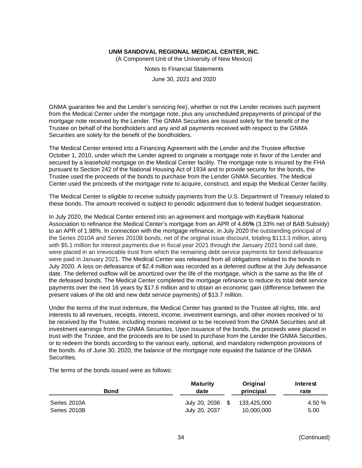(A Component Unit of the University of New Mexico)

Notes to Financial Statements

June 30, 2021 and 2020

GNMA guarantee fee and the Lender's servicing fee), whether or not the Lender receives such payment from the Medical Center under the mortgage note, plus any unscheduled prepayments of principal of the mortgage note received by the Lender. The GNMA Securities are issued solely for the benefit of the Trustee on behalf of the bondholders and any and all payments received with respect to the GNMA Securities are solely for the benefit of the bondholders.

The Medical Center entered into a Financing Agreement with the Lender and the Trustee effective October 1, 2010, under which the Lender agreed to originate a mortgage note in favor of the Lender and secured by a leasehold mortgage on the Medical Center facility. The mortgage note is insured by the FHA pursuant to Section 242 of the National Housing Act of 1934 and to provide security for the bonds, the Trustee used the proceeds of the bonds to purchase from the Lender GNMA Securities. The Medical Center used the proceeds of the mortgage note to acquire, construct, and equip the Medical Center facility.

The Medical Center is eligible to receive subsidy payments from the U.S. Department of Treasury related to these bonds. The amount received is subject to periodic adjustment due to federal budget sequestration.

In July 2020, the Medical Center entered into an agreement and mortgage with KeyBank National Association to refinance the Medical Center's mortgage from an APR of 4.86**%** (3.33% net of BAB Subsidy) to an APR of 1.98%. In connection with the mortgage refinance, in July 2020 the outstanding principal of the Series 2010A and Series 2010B bonds, net of the original issue discount, totaling \$113.3 million, along with \$5.1 million for interest payments due in fiscal year 2021 through the January 2021 bond call date, were placed in an irrevocable trust from which the remaining debt service payments for bond defeasance were paid in January 2021. The Medical Center was released from all obligations related to the bonds in July 2020. A loss on defeasance of \$2.4 million was recorded as a deferred outflow at the July defeasance date. The deferred outflow will be amortized over the life of the mortgage, which is the same as the life of the defeased bonds. The Medical Center completed the mortgage refinance to reduce its total debt service payments over the next 16 years by \$17.6 million and to obtain an economic gain (difference between the present values of the old and new debt service payments) of \$13.7 million.

Under the terms of the trust indenture, the Medical Center has granted to the Trustee all rights, title, and interests to all revenues, receipts, interest, income, investment earnings, and other monies received or to be received by the Trustee, including monies received or to be received from the GNMA Securities and all investment earnings from the GNMA Securities. Upon issuance of the bonds, the proceeds were placed in trust with the Trustee, and the proceeds are to be used to purchase from the Lender the GNMA Securities, or to redeem the bonds according to the various early, optional, and mandatory redemption provisions of the bonds. As of June 30, 2020, the balance of the mortgage note equaled the balance of the GNMA Securities.

The terms of the bonds issued were as follows:

| Bond         | <b>Maturity</b><br>date |      | Original<br>principal | Interest<br>rate |
|--------------|-------------------------|------|-----------------------|------------------|
| Series 2010A | July 20, 2036           | - \$ | 133,425,000           | 4.50 %           |
| Series 2010B | July 20, 2037           |      | 10,000,000            | 5.00             |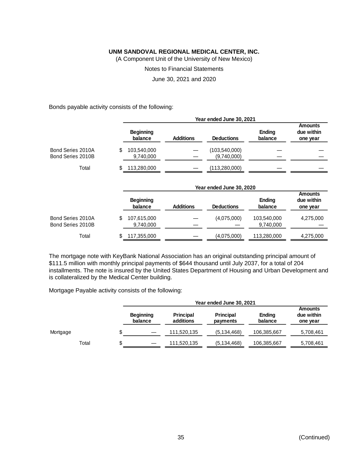(A Component Unit of the University of New Mexico)

Notes to Financial Statements

June 30, 2021 and 2020

Bonds payable activity consists of the following:

|                   | Year ended June 30, 2021    |                  |                   |                          |                                          |  |
|-------------------|-----------------------------|------------------|-------------------|--------------------------|------------------------------------------|--|
|                   | <b>Beginning</b><br>balance | <b>Additions</b> | <b>Deductions</b> | <b>Ending</b><br>balance | <b>Amounts</b><br>due within<br>one year |  |
| Bond Series 2010A | 103,540,000                 |                  | (103,540,000)     |                          |                                          |  |
| Bond Series 2010B | 9,740,000                   |                  | (9,740,000)       |                          |                                          |  |
| Total             | 113,280,000                 |                  | (113,280,000)     |                          |                                          |  |

|                                        |                             | Year ended June 30, 2020 |                   |                          |                                          |  |  |
|----------------------------------------|-----------------------------|--------------------------|-------------------|--------------------------|------------------------------------------|--|--|
|                                        | <b>Beginning</b><br>balance | <b>Additions</b>         | <b>Deductions</b> | <b>Ending</b><br>balance | <b>Amounts</b><br>due within<br>one year |  |  |
| Bond Series 2010A<br>Bond Series 2010B | 107,615,000<br>9,740,000    |                          | (4,075,000)       | 103,540,000<br>9,740,000 | 4,275,000                                |  |  |
| Total                                  | 117,355,000                 |                          | (4,075,000)       | 113,280,000              | 4,275,000                                |  |  |

The mortgage note with KeyBank National Association has an original outstanding principal amount of \$111.5 million with monthly principal payments of \$644 thousand until July 2037, for a total of 204 installments. The note is insured by the United States Department of Housing and Urban Development and is collateralized by the Medical Center building.

Mortgage Payable activity consists of the following:

|          |       |   | Year ended June 30, 2021    |                               |                              |                          |                                          |  |
|----------|-------|---|-----------------------------|-------------------------------|------------------------------|--------------------------|------------------------------------------|--|
|          |       |   | <b>Beginning</b><br>balance | <b>Principal</b><br>additions | <b>Principal</b><br>payments | <b>Ending</b><br>balance | <b>Amounts</b><br>due within<br>one year |  |
| Mortgage |       |   |                             | 111,520,135                   | (5, 134, 468)                | 106,385,667              | 5,708,461                                |  |
|          | Total | S |                             | 111.520.135                   | (5, 134, 468)                | 106,385,667              | 5,708,461                                |  |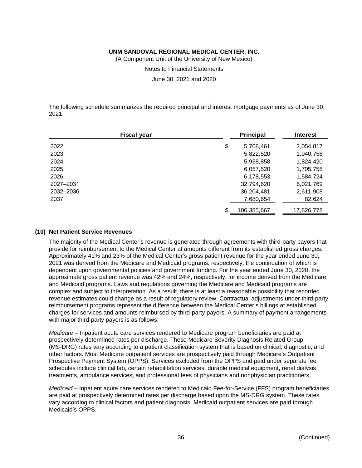(A Component Unit of the University of New Mexico)

Notes to Financial Statements

June 30, 2021 and 2020

The following schedule summarizes the required principal and interest mortgage payments as of June 30, 2021:

| <b>Fiscal year</b> | Principal         | Interest   |
|--------------------|-------------------|------------|
| 2022               | \$<br>5,708,461   | 2,054,817  |
| 2023               | 5,822,520         | 1,940,758  |
| 2024               | 5,938,858         | 1,824,420  |
| 2025               | 6,057,520         | 1,705,758  |
| 2026               | 6,178,553         | 1,584,724  |
| 2027-2031          | 32,794,620        | 6,021,769  |
| 2032-2036          | 36,204,481        | 2,611,908  |
| 2037               | 7,680,654         | 82,624     |
|                    | \$<br>106,385,667 | 17,826,778 |

#### **(10) Net Patient Service Revenues**

The majority of the Medical Center's revenue is generated through agreements with third-party payors that provide for reimbursement to the Medical Center at amounts different from its established gross charges. Approximately 41% and 23% of the Medical Center's gross patient revenue for the year ended June 30, 2021 was derived from the Medicare and Medicaid programs, respectively, the continuation of which is dependent upon governmental policies and government funding. For the year ended June 30, 2020, the approximate gross patient revenue was 42% and 24%, respectively, for income derived from the Medicare and Medicaid programs. Laws and regulations governing the Medicare and Medicaid programs are complex and subject to interpretation. As a result, there is at least a reasonable possibility that recorded revenue estimates could change as a result of regulatory review. Contractual adjustments under third-party reimbursement programs represent the difference between the Medical Center's billings at established charges for services and amounts reimbursed by third-party payors. A summary of payment arrangements with major third-party payors is as follows:

*Medicare* – Inpatient acute care services rendered to Medicare program beneficiaries are paid at prospectively determined rates per discharge. These Medicare Severity Diagnosis Related Group (MS-DRG) rates vary according to a patient classification system that is based on clinical, diagnostic, and other factors. Most Medicare outpatient services are prospectively paid through Medicare's Outpatient Prospective Payment System (OPPS). Services excluded from the OPPS and paid under separate fee schedules include clinical lab, certain rehabilitation services, durable medical equipment, renal dialysis treatments, ambulance services, and professional fees of physicians and nonphysician practitioners.

*Medicaid* – Inpatient acute care services rendered to Medicaid Fee-for-Service (FFS) program beneficiaries are paid at prospectively determined rates per discharge based upon the MS-DRG system. These rates vary according to clinical factors and patient diagnosis. Medicaid outpatient services are paid through Medicaid's OPPS.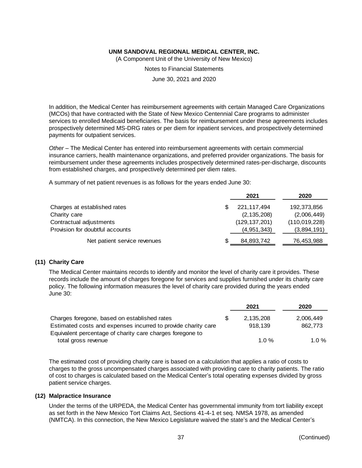(A Component Unit of the University of New Mexico)

Notes to Financial Statements

June 30, 2021 and 2020

In addition, the Medical Center has reimbursement agreements with certain Managed Care Organizations (MCOs) that have contracted with the State of New Mexico Centennial Care programs to administer services to enrolled Medicaid beneficiaries. The basis for reimbursement under these agreements includes prospectively determined MS-DRG rates or per diem for inpatient services, and prospectively determined payments for outpatient services.

*Other* – The Medical Center has entered into reimbursement agreements with certain commercial insurance carriers, health maintenance organizations, and preferred provider organizations. The basis for reimbursement under these agreements includes prospectively determined rates-per-discharge, discounts from established charges, and prospectively determined per diem rates.

A summary of net patient revenues is as follows for the years ended June 30:

|                                 |   | 2021            | 2020            |
|---------------------------------|---|-----------------|-----------------|
| Charges at established rates    |   | 221, 117, 494   | 192,373,856     |
| Charity care                    |   | (2, 135, 208)   | (2,006,449)     |
| Contractual adjustments         |   | (129, 137, 201) | (110, 019, 228) |
| Provision for doubtful accounts |   | (4,951,343)     | (3,894,191)     |
| Net patient service revenues    | S | 84,893,742      | 76,453,988      |

### **(11) Charity Care**

The Medical Center maintains records to identify and monitor the level of charity care it provides. These records include the amount of charges foregone for services and supplies furnished under its charity care policy. The following information measures the level of charity care provided during the years ended June 30:

|                                                               | 2021      | 2020      |
|---------------------------------------------------------------|-----------|-----------|
| Charges foregone, based on established rates                  | 2.135.208 | 2.006.449 |
| Estimated costs and expenses incurred to provide charity care | 918.139   | 862,773   |
| Equivalent percentage of charity care charges foregone to     |           |           |
| total gross revenue                                           | 1.0%      | 1.0 $%$   |

The estimated cost of providing charity care is based on a calculation that applies a ratio of costs to charges to the gross uncompensated charges associated with providing care to charity patients. The ratio of cost to charges is calculated based on the Medical Center's total operating expenses divided by gross patient service charges.

#### **(12) Malpractice Insurance**

Under the terms of the URPEDA, the Medical Center has governmental immunity from tort liability except as set forth in the New Mexico Tort Claims Act, Sections 41-4-1 et seq. NMSA 1978, as amended (NMTCA). In this connection, the New Mexico Legislature waived the state's and the Medical Center's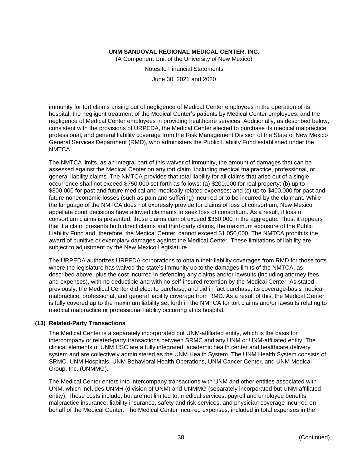(A Component Unit of the University of New Mexico)

Notes to Financial Statements

June 30, 2021 and 2020

immunity for tort claims arising out of negligence of Medical Center employees in the operation of its hospital, the negligent treatment of the Medical Center's patients by Medical Center employees, and the negligence of Medical Center employees in providing healthcare services. Additionally, as described below, consistent with the provisions of URPEDA, the Medical Center elected to purchase its medical malpractice, professional, and general liability coverage from the Risk Management Division of the State of New Mexico General Services Department (RMD), who administers the Public Liability Fund established under the NMTCA.

The NMTCA limits, as an integral part of this waiver of immunity, the amount of damages that can be assessed against the Medical Center on any tort claim, including medical malpractice, professional, or general liability claims. The NMTCA provides that total liability for all claims that arise out of a single occurrence shall not exceed \$750,000 set forth as follows: (a) \$200,000 for real property; (b) up to \$300,000 for past and future medical and medically related expenses; and (c) up to \$400,000 for past and future noneconomic losses (such as pain and suffering) incurred or to be incurred by the claimant. While the language of the NMTCA does not expressly provide for claims of loss of consortium, New Mexico appellate court decisions have allowed claimants to seek loss of consortium. As a result, if loss of consortium claims is presented, those claims cannot exceed \$350,000 in the aggregate. Thus, it appears that if a claim presents both direct claims and third-party claims, the maximum exposure of the Public Liability Fund and, therefore, the Medical Center, cannot exceed \$1,050,000. The NMTCA prohibits the award of punitive or exemplary damages against the Medical Center. These limitations of liability are subject to adjustment by the New Mexico Legislature.

The URPEDA authorizes URPEDA corporations to obtain their liability coverages from RMD for those torts where the legislature has waived the state's immunity up to the damages limits of the NMTCA, as described above, plus the cost incurred in defending any claims and/or lawsuits (including attorney fees and expenses), with no deductible and with no self-insured retention by the Medical Center. As stated previously, the Medical Center did elect to purchase, and did in fact purchase, its coverage-basis medical malpractice, professional, and general liability coverage from RMD. As a result of this, the Medical Center is fully covered up to the maximum liability set forth in the NMTCA for tort claims and/or lawsuits relating to medical malpractice or professional liability occurring at its hospital.

#### **(13) Related-Party Transactions**

The Medical Center is a separately incorporated but UNM-affiliated entity, which is the basis for intercompany or related-party transactions between SRMC and any UNM or UNM-affiliated entity. The clinical elements of UNM HSC are a fully integrated, academic health center and healthcare delivery system and are collectively administered as the UNM Health System. The UNM Health System consists of SRMC, UNM Hospitals, UNM Behavioral Health Operations, UNM Cancer Center, and UNM Medical Group, Inc. (UNMMG).

The Medical Center enters into intercompany transactions with UNM and other entities associated with UNM, which includes UNMH (division of UNM) and UNMMG (separately incorporated but UNM-affiliated entity). These costs include, but are not limited to, medical services, payroll and employee benefits, malpractice insurance, liability insurance, safety and risk services, and physician coverage incurred on behalf of the Medical Center. The Medical Center incurred expenses, included in total expenses in the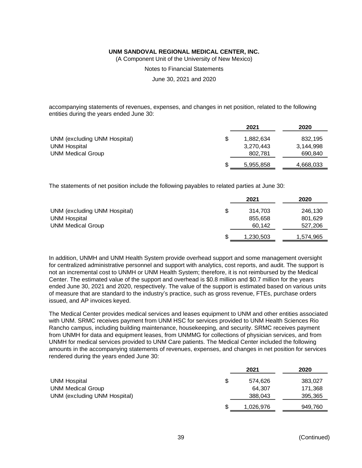(A Component Unit of the University of New Mexico)

Notes to Financial Statements

June 30, 2021 and 2020

accompanying statements of revenues, expenses, and changes in net position, related to the following entities during the years ended June 30:

|                              |    | 2021      | 2020      |
|------------------------------|----|-----------|-----------|
| UNM (excluding UNM Hospital) | \$ | 1.882.634 | 832,195   |
| <b>UNM Hospital</b>          |    | 3,270,443 | 3,144,998 |
| <b>UNM Medical Group</b>     |    | 802,781   | 690,840   |
|                              | S  | 5,955,858 | 4,668,033 |

The statements of net position include the following payables to related parties at June 30:

|                              |   | 2021      | 2020      |
|------------------------------|---|-----------|-----------|
| UNM (excluding UNM Hospital) | S | 314.703   | 246,130   |
| <b>UNM Hospital</b>          |   | 855,658   | 801,629   |
| <b>UNM Medical Group</b>     |   | 60,142    | 527,206   |
|                              | S | 1,230,503 | 1,574,965 |

In addition, UNMH and UNM Health System provide overhead support and some management oversight for centralized administrative personnel and support with analytics, cost reports, and audit. The support is not an incremental cost to UNMH or UNM Health System; therefore, it is not reimbursed by the Medical Center. The estimated value of the support and overhead is \$0.8 million and \$0.7 million for the years ended June 30, 2021 and 2020, respectively. The value of the support is estimated based on various units of measure that are standard to the industry's practice, such as gross revenue, FTEs, purchase orders issued, and AP invoices keyed.

The Medical Center provides medical services and leases equipment to UNM and other entities associated with UNM. SRMC receives payment from UNM HSC for services provided to UNM Health Sciences Rio Rancho campus, including building maintenance, housekeeping, and security. SRMC receives payment from UNMH for data and equipment leases, from UNMMG for collections of physician services, and from UNMH for medical services provided to UNM Care patients. The Medical Center included the following amounts in the accompanying statements of revenues, expenses, and changes in net position for services rendered during the years ended June 30:

|                              | 2021            | 2020    |
|------------------------------|-----------------|---------|
| <b>UNM Hospital</b>          | \$<br>574,626   | 383,027 |
| <b>UNM Medical Group</b>     | 64.307          | 171,368 |
| UNM (excluding UNM Hospital) | 388,043         | 395,365 |
|                              | \$<br>1,026,976 | 949,760 |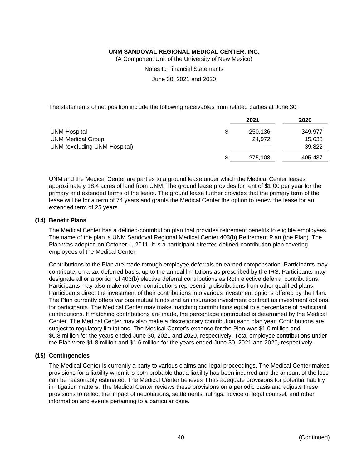(A Component Unit of the University of New Mexico)

Notes to Financial Statements

June 30, 2021 and 2020

The statements of net position include the following receivables from related parties at June 30:

|                              |    | 2021    | 2020    |
|------------------------------|----|---------|---------|
| <b>UNM Hospital</b>          | \$ | 250,136 | 349,977 |
| <b>UNM Medical Group</b>     |    | 24.972  | 15,638  |
| UNM (excluding UNM Hospital) |    |         | 39,822  |
|                              | S  | 275,108 | 405,437 |

UNM and the Medical Center are parties to a ground lease under which the Medical Center leases approximately 18.4 acres of land from UNM. The ground lease provides for rent of \$1.00 per year for the primary and extended terms of the lease. The ground lease further provides that the primary term of the lease will be for a term of 74 years and grants the Medical Center the option to renew the lease for an extended term of 25 years.

#### **(14) Benefit Plans**

The Medical Center has a defined-contribution plan that provides retirement benefits to eligible employees. The name of the plan is UNM Sandoval Regional Medical Center 403(b) Retirement Plan (the Plan). The Plan was adopted on October 1, 2011. It is a participant-directed defined-contribution plan covering employees of the Medical Center.

Contributions to the Plan are made through employee deferrals on earned compensation. Participants may contribute, on a tax-deferred basis, up to the annual limitations as prescribed by the IRS. Participants may designate all or a portion of 403(b) elective deferral contributions as Roth elective deferral contributions. Participants may also make rollover contributions representing distributions from other qualified plans. Participants direct the investment of their contributions into various investment options offered by the Plan. The Plan currently offers various mutual funds and an insurance investment contract as investment options for participants. The Medical Center may make matching contributions equal to a percentage of participant contributions. If matching contributions are made, the percentage contributed is determined by the Medical Center. The Medical Center may also make a discretionary contribution each plan year. Contributions are subject to regulatory limitations. The Medical Center's expense for the Plan was \$1.0 million and \$0.8 million for the years ended June 30, 2021 and 2020, respectively. Total employee contributions under the Plan were \$1.8 million and \$1.6 million for the years ended June 30, 2021 and 2020, respectively.

#### **(15) Contingencies**

The Medical Center is currently a party to various claims and legal proceedings. The Medical Center makes provisions for a liability when it is both probable that a liability has been incurred and the amount of the loss can be reasonably estimated. The Medical Center believes it has adequate provisions for potential liability in litigation matters. The Medical Center reviews these provisions on a periodic basis and adjusts these provisions to reflect the impact of negotiations, settlements, rulings, advice of legal counsel, and other information and events pertaining to a particular case.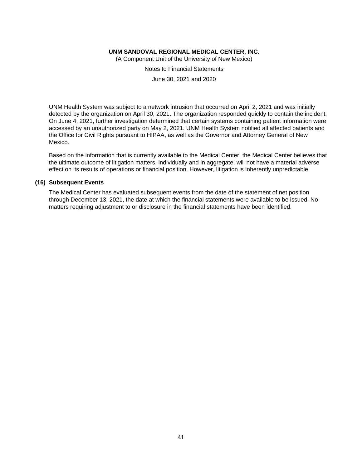(A Component Unit of the University of New Mexico)

Notes to Financial Statements

June 30, 2021 and 2020

UNM Health System was subject to a network intrusion that occurred on April 2, 2021 and was initially detected by the organization on April 30, 2021. The organization responded quickly to contain the incident. On June 4, 2021, further investigation determined that certain systems containing patient information were accessed by an unauthorized party on May 2, 2021. UNM Health System notified all affected patients and the Office for Civil Rights pursuant to HIPAA, as well as the Governor and Attorney General of New Mexico.

Based on the information that is currently available to the Medical Center, the Medical Center believes that the ultimate outcome of litigation matters, individually and in aggregate, will not have a material adverse effect on its results of operations or financial position. However, litigation is inherently unpredictable.

#### **(16) Subsequent Events**

The Medical Center has evaluated subsequent events from the date of the statement of net position through December 13, 2021, the date at which the financial statements were available to be issued. No matters requiring adjustment to or disclosure in the financial statements have been identified.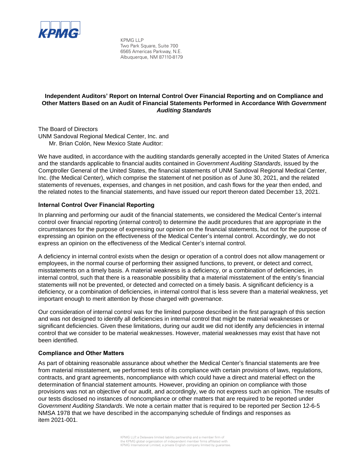

KPMG LLP Two Park Square, Suite 700 6565 Americas Parkway, N.E. Albuquerque, NM 87110-8179

### **Independent Auditors' Report on Internal Control Over Financial Reporting and on Compliance and Other Matters Based on an Audit of Financial Statements Performed in Accordance With** *Government Auditing Standards*

The Board of Directors UNM Sandoval Regional Medical Center, Inc. and Mr. Brian Colón, New Mexico State Auditor:

We have audited, in accordance with the auditing standards generally accepted in the United States of America and the standards applicable to financial audits contained in *Government Auditing Standards*, issued by the Comptroller General of the United States, the financial statements of UNM Sandoval Regional Medical Center, Inc. (the Medical Center), which comprise the statement of net position as of June 30, 2021, and the related statements of revenues, expenses, and changes in net position, and cash flows for the year then ended, and the related notes to the financial statements, and have issued our report thereon dated December 13, 2021.

### **Internal Control Over Financial Reporting**

In planning and performing our audit of the financial statements, we considered the Medical Center's internal control over financial reporting (internal control) to determine the audit procedures that are appropriate in the circumstances for the purpose of expressing our opinion on the financial statements, but not for the purpose of expressing an opinion on the effectiveness of the Medical Center's internal control. Accordingly, we do not express an opinion on the effectiveness of the Medical Center's internal control.

A deficiency in internal control exists when the design or operation of a control does not allow management or employees, in the normal course of performing their assigned functions, to prevent, or detect and correct, misstatements on a timely basis. A material weakness is a deficiency, or a combination of deficiencies, in internal control, such that there is a reasonable possibility that a material misstatement of the entity's financial statements will not be prevented, or detected and corrected on a timely basis. A significant deficiency is a deficiency, or a combination of deficiencies, in internal control that is less severe than a material weakness, yet important enough to merit attention by those charged with governance.

Our consideration of internal control was for the limited purpose described in the first paragraph of this section and was not designed to identify all deficiencies in internal control that might be material weaknesses or significant deficiencies. Given these limitations, during our audit we did not identify any deficiencies in internal control that we consider to be material weaknesses. However, material weaknesses may exist that have not been identified.

#### **Compliance and Other Matters**

As part of obtaining reasonable assurance about whether the Medical Center's financial statements are free from material misstatement, we performed tests of its compliance with certain provisions of laws, regulations, contracts, and grant agreements, noncompliance with which could have a direct and material effect on the determination of financial statement amounts. However, providing an opinion on compliance with those provisions was not an objective of our audit, and accordingly, we do not express such an opinion. The results of our tests disclosed no instances of noncompliance or other matters that are required to be reported under *Government Auditing Standards*. We note a certain matter that is required to be reported per Section 12-6-5 NMSA 1978 that we have described in the accompanying schedule of findings and responses as item 2021-001.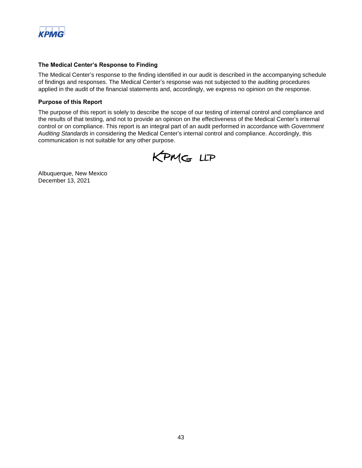

### **The Medical Center's Response to Finding**

The Medical Center's response to the finding identified in our audit is described in the accompanying schedule of findings and responses. The Medical Center's response was not subjected to the auditing procedures applied in the audit of the financial statements and, accordingly, we express no opinion on the response.

### **Purpose of this Report**

The purpose of this report is solely to describe the scope of our testing of internal control and compliance and the results of that testing, and not to provide an opinion on the effectiveness of the Medical Center's internal control or on compliance. This report is an integral part of an audit performed in accordance with *Government Auditing Standards* in considering the Medical Center's internal control and compliance. Accordingly, this communication is not suitable for any other purpose.



Albuquerque, New Mexico December 13, 2021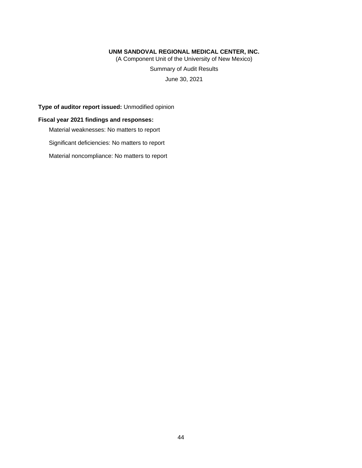(A Component Unit of the University of New Mexico)

Summary of Audit Results

June 30, 2021

**Type of auditor report issued:** Unmodified opinion

### **Fiscal year 2021 findings and responses:**

Material weaknesses: No matters to report

Significant deficiencies: No matters to report

Material noncompliance: No matters to report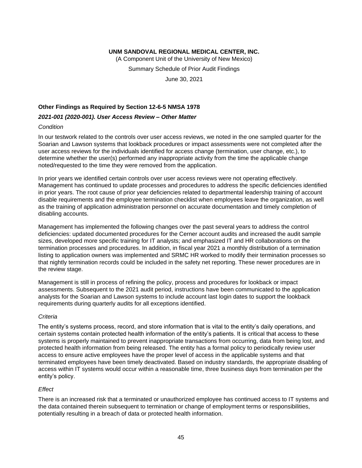(A Component Unit of the University of New Mexico) Summary Schedule of Prior Audit Findings June 30, 2021

### **Other Findings as Required by Section 12-6-5 NMSA 1978**

### *2021-001 (2020-001). User Access Review – Other Matter*

### *Condition*

In our testwork related to the controls over user access reviews, we noted in the one sampled quarter for the Soarian and Lawson systems that lookback procedures or impact assessments were not completed after the user access reviews for the individuals identified for access change (termination, user change, etc.), to determine whether the user(s) performed any inappropriate activity from the time the applicable change noted/requested to the time they were removed from the application.

In prior years we identified certain controls over user access reviews were not operating effectively. Management has continued to update processes and procedures to address the specific deficiencies identified in prior years. The root cause of prior year deficiencies related to departmental leadership training of account disable requirements and the employee termination checklist when employees leave the organization, as well as the training of application administration personnel on accurate documentation and timely completion of disabling accounts.

Management has implemented the following changes over the past several years to address the control deficiencies: updated documented procedures for the Cerner account audits and increased the audit sample sizes, developed more specific training for IT analysts; and emphasized IT and HR collaborations on the termination processes and procedures. In addition, in fiscal year 2021 a monthly distribution of a termination listing to application owners was implemented and SRMC HR worked to modify their termination processes so that nightly termination records could be included in the safety net reporting. These newer procedures are in the review stage.

Management is still in process of refining the policy, process and procedures for lookback or impact assessments. Subsequent to the 2021 audit period, instructions have been communicated to the application analysts for the Soarian and Lawson systems to include account last login dates to support the lookback requirements during quarterly audits for all exceptions identified.

### *Criteria*

The entity's systems process, record, and store information that is vital to the entity's daily operations, and certain systems contain protected health information of the entity's patients. It is critical that access to these systems is properly maintained to prevent inappropriate transactions from occurring, data from being lost, and protected health information from being released. The entity has a formal policy to periodically review user access to ensure active employees have the proper level of access in the applicable systems and that terminated employees have been timely deactivated. Based on industry standards, the appropriate disabling of access within IT systems would occur within a reasonable time, three business days from termination per the entity's policy.

### *Effect*

There is an increased risk that a terminated or unauthorized employee has continued access to IT systems and the data contained therein subsequent to termination or change of employment terms or responsibilities, potentially resulting in a breach of data or protected health information.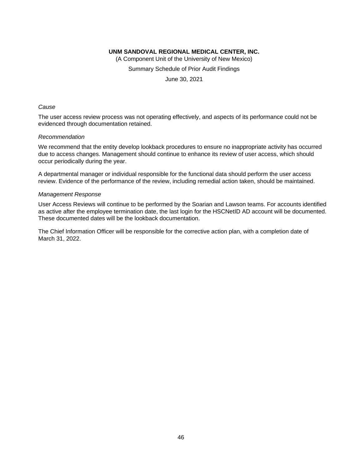(A Component Unit of the University of New Mexico) Summary Schedule of Prior Audit Findings

June 30, 2021

### *Cause*

The user access review process was not operating effectively, and aspects of its performance could not be evidenced through documentation retained.

#### *Recommendation*

We recommend that the entity develop lookback procedures to ensure no inappropriate activity has occurred due to access changes. Management should continue to enhance its review of user access, which should occur periodically during the year.

A departmental manager or individual responsible for the functional data should perform the user access review. Evidence of the performance of the review, including remedial action taken, should be maintained.

#### *Management Response*

User Access Reviews will continue to be performed by the Soarian and Lawson teams. For accounts identified as active after the employee termination date, the last login for the HSCNetID AD account will be documented. These documented dates will be the lookback documentation.

The Chief Information Officer will be responsible for the corrective action plan, with a completion date of March 31, 2022.